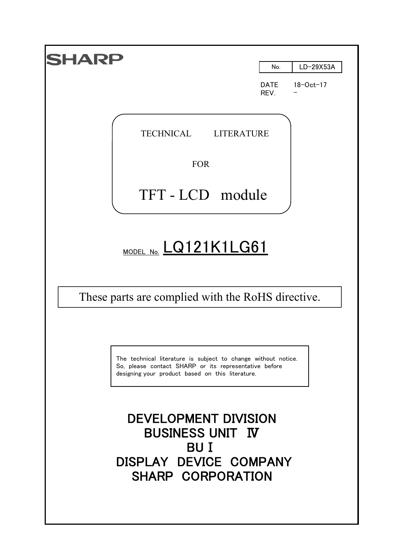| HARP                                                                                                                                                                       |                            |                              |
|----------------------------------------------------------------------------------------------------------------------------------------------------------------------------|----------------------------|------------------------------|
|                                                                                                                                                                            | No.<br><b>DATE</b><br>REV. | LD-29X53A<br>$18 - Oct - 17$ |
|                                                                                                                                                                            |                            |                              |
| TECHNICAL<br>LITERATURE                                                                                                                                                    |                            |                              |
| <b>FOR</b>                                                                                                                                                                 |                            |                              |
| TFT-LCD module                                                                                                                                                             |                            |                              |
|                                                                                                                                                                            |                            |                              |
| MODEL NO. LQ121K1LG61                                                                                                                                                      |                            |                              |
| These parts are complied with the RoHS directive.                                                                                                                          |                            |                              |
|                                                                                                                                                                            |                            |                              |
| The technical literature is subject to change without notice.<br>So, please contact SHARP or its representative before<br>designing your product based on this literature. |                            |                              |
| DEVELOPMENT DIVISION<br><b>BUSINESS UNIT IV</b><br>BU I<br>DISPLAY DEVICE COMPANY<br>SHARP CORPORATION                                                                     |                            |                              |
|                                                                                                                                                                            |                            |                              |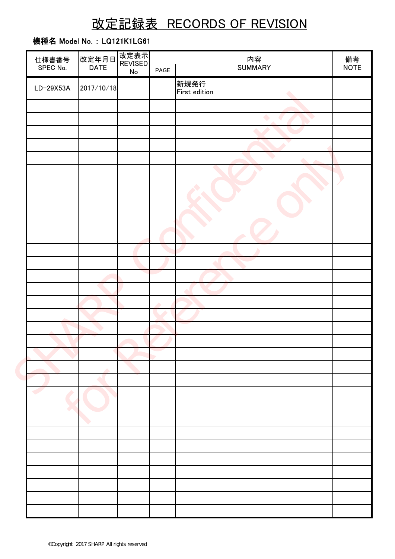# 改定記録表 RECORDS OF REVISION

# 機種名 Model No. : LQ121K1LG61

| 仕様書番号       | 改定年月日 <br>  DATE | 改定表示<br><b>REVISED</b> |      | 内容                    |                   |  |
|-------------|------------------|------------------------|------|-----------------------|-------------------|--|
| SPEC No.    |                  | No                     | PAGE | <b>SUMMARY</b>        | 備考<br><b>NOTE</b> |  |
| $LD-29X53A$ | 2017/10/18       |                        |      | 新規発行<br>First edition |                   |  |
|             |                  |                        |      |                       |                   |  |
|             |                  |                        |      | $\bullet$             |                   |  |
|             |                  |                        |      |                       |                   |  |
|             |                  |                        |      |                       |                   |  |
|             |                  |                        |      |                       |                   |  |
|             |                  |                        |      |                       |                   |  |
|             |                  |                        |      |                       |                   |  |
|             |                  |                        |      |                       |                   |  |
|             |                  |                        |      |                       |                   |  |
|             |                  |                        |      |                       |                   |  |
|             |                  |                        |      |                       |                   |  |
|             |                  |                        |      |                       |                   |  |
|             |                  |                        |      |                       |                   |  |
|             |                  |                        |      |                       |                   |  |
|             |                  |                        | ÷    |                       |                   |  |
|             |                  |                        |      |                       |                   |  |
|             |                  |                        |      |                       |                   |  |
|             |                  |                        |      |                       |                   |  |
|             |                  |                        |      |                       |                   |  |
|             |                  |                        |      |                       |                   |  |
|             |                  |                        |      |                       |                   |  |
|             |                  |                        |      |                       |                   |  |
|             |                  |                        |      |                       |                   |  |
|             |                  |                        |      |                       |                   |  |
|             |                  |                        |      |                       |                   |  |
|             |                  |                        |      |                       |                   |  |
|             |                  |                        |      |                       |                   |  |
|             |                  |                        |      |                       |                   |  |
|             |                  |                        |      |                       |                   |  |
|             |                  |                        |      |                       |                   |  |
|             |                  |                        |      |                       |                   |  |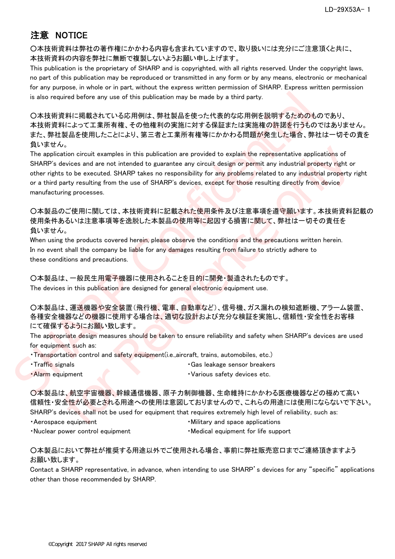# 注意 NOTICE

○本技術資料は弊社の著作権にかかわる内容も含まれていますので、取り扱いには充分にご注意頂くと共に、 本技術資料の内容を弊社に無断で複製しないようお願い申し上げます。

This publication is the proprietary of SHARP and is copyrighted, with all rights reserved. Under the copyright laws, no part of this publication may be reproduced or transmitted in any form or by any means, electronic or mechanical for any purpose, in whole or in part, without the express written permission of SHARP. Express written permission is also required before any use of this publication may be made by a third party.

○本技術資料に掲載されている応用例は、弊社製品を使った代表的な応用例を説明するためのものであり、 本技術資料によって工業所有権、その他権利の実施に対する保証または実施権の許諾を行うものではありません。 また、弊社製品を使用したことにより、第三者と工業所有権等にかかわる問題が発生した場合、弊社は一切その責を 負いません。

The application circuit examples in this publication are provided to explain the representative applications of SHARP's devices and are not intended to guarantee any circuit design or permit any industrial property right or other rights to be executed. SHARP takes no responsibility for any problems related to any industrial property right or a third party resulting from the use of SHARP's devices, except for those resulting directly from device manufacturing processes. is also required before any use of this publication may be made by a third party.<br>
2.本技術資料に掲載されている反用例は、弊社製品を使った代表的な反用例を説明するためのもので、<br>
本技術資料によって工業所有権するの他権利の実施に対する保証または実施権の許諾を行うものでは、<br>
また、または、企業の可有権、その他権利の実施に対する保証または実施権の許諾を行う \*)<br>coion circuit examples in this publication are provided to explain the representative applications of<br>which circuit examples in this model to guarantee any cricuit design or permit any industrial property right or<br>to

○本製品のご使用に関しては、本技術資料に記載された使用条件及び注意事項を遵守願います。本技術資料記載の 使用条件あるいは注意事項等を逸脱した本製品の使用等に起因する損害に関して、弊社は一切その責任を 負いません。

When using the products covered herein, please observe the conditions and the precautions written herein. In no event shall the company be liable for any damages resulting from failure to strictly adhere to these conditions and precautions.

○本製品は、一般民生用電子機器に使用されることを目的に開発・製造されたものです。 The devices in this publication are designed for general electronic equipment use.

○本製品は、運送機器や安全装置(飛行機、電車、自動車など)、信号機、ガス漏れの検知遮断機、アラーム装置、 各種安全機器などの機器に使用する場合は、適切な設計および充分な検証を実施し、信頼性・安全性をお客様 にて確保するようにお願い致します。

The appropriate design measures should be taken to ensure reliability and safety when SHARP's devices are used for equipment such as:

・Transportation control and safety equipment(i.e.,aircraft, trains, automobiles, etc.)

• Traffic signals **• Gas leakage sensor breakers** • Gas leakage sensor breakers • Alarm equipment **1999** • Various safety devices etc.

○本製品は、航空宇宙機器、幹線通信機器、原子力制御機器、生命維持にかかわる医療機器などの極めて高い 信頼性・安全性が必要とされる用途への使用は意図しておりませんので、これらの用途には使用にならないで下さい。 SHARP's devices shall not be used for equipment that requires extremely high level of reliability, such as:

- 
- Aerospace equipment **but a controlled a controlled as a controlled a Military and space applications**
- Nuclear power control equipment · Medical equipment for life support

#### ○本製品において弊社が推奨する用途以外でご使用される場合、事前に弊社販売窓口までご連絡頂きますよう お願い致します。

Contact a SHARP representative, in advance, when intending to use SHARP's devices for any "specific" applications other than those recommended by SHARP.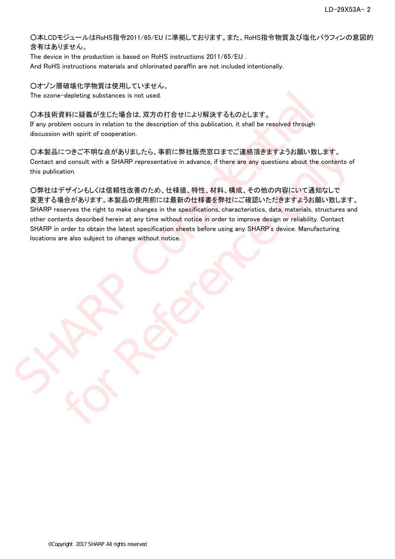○本LCDモジュールはRoHS指令2011/65/EU に準拠しております。また、RoHS指令物質及び塩化パラフィンの意図的 含有はありません。

The device in the production is based on RoHS instructions 2011/65/EU . And RoHS instructions materials and chlorinated paraffin are not included intentionally.

○オゾン層破壊化学物質は使用していません。 The ozone-depleting substances is not used.

#### ○本技術資料に疑義が生じた場合は、双方の打合せにより解決するものとします。

If any problem occurs in relation to the description of this publication, it shall be resolved through discussion with spirit of cooperation.

○本製品につきご不明な点がありましたら、事前に弊社販売窓口までご連絡頂きますようお願い致します。 Contact and consult with a SHARP representative in advance, if there are any questions about the contents of this publication.

○弊社はデザインもしくは信頼性改善のため、仕様値、特性、材料、構成、その他の内容にいて通知なしで 変更する場合があります。本製品の使用前には最新の仕様書を弊社にご確認いただきますようお願い致します。 SHARP reserves the right to make changes in the specifications, characteristics, data, materials, structures and other contents described herein at any time without notice in order to improve design or reliability. Contact SHARP in order to obtain the latest specification sheets before using any SHARP's device. Manufacturing locations are also subject to change without notice. The azone-depleting substances is not used.<br>
<br>
O本技術資料に疑義が生じた場合は、双方の打合せにより解決するものとします。<br>
If any problem cocurs in relation to the description of this publication, it shall be resolved through<br>
discussion with spirit of coop - つきご不明な点がありましたら、事前に弊社販売窓口までご連絡頂きますようお願い致します。<br>disonsult with a SHARP representative in advance, if there are any questions about the contents of<br>disonsult with a SHARP representative in advance, if there are any question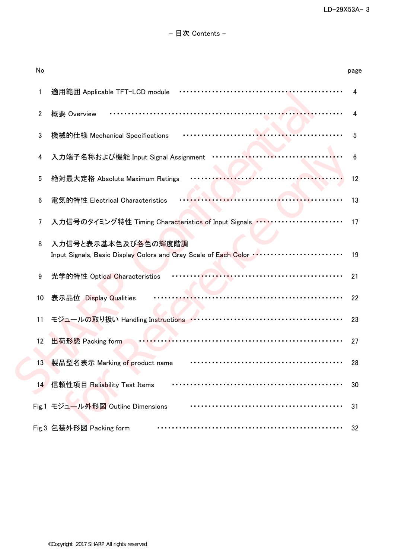| No              |                                                                                         | page |
|-----------------|-----------------------------------------------------------------------------------------|------|
| 1               | 適用範囲 Applicable TFT-LCD module                                                          |      |
| $\overline{2}$  | 概要 Overview                                                                             |      |
| 3               | 機械的仕様 Mechanical Specifications                                                         | 5    |
| 4               | 入力端子名称および機能 Input Signal Assignment                                                     | 6    |
| 5               | 絶対最大定格 Absolute Maximum Ratings                                                         | 12   |
| $6\phantom{.0}$ | 電気的特性 Electrical Characteristics                                                        | 13   |
| 7               | 入力信号のタイミング特性 Timing Characteristics of Input Signals ファ・・・・・・・・・・・・・・・・・・・・・・・・・        | 17   |
| 8               | 入力信号と表示基本色及び各色の輝度階調<br>Input Signals, Basic Display Colors and Gray Scale of Each Color | 19   |
| 9               | 光学的特性 Optical Characteristics                                                           | 21   |
| 10              | 表示品位 Display Qualities                                                                  | 22   |
| 11              |                                                                                         | 23   |
| 12              | 出荷形態 Packing form                                                                       | 27   |
| 13              | 製品型名表示 Marking of product name                                                          | 28   |
| 14              | 信頼性項目 Reliability Test Items                                                            | 30   |
|                 | Fig.1 モジュール外形図 Outline Dimensions                                                       | 31   |
|                 | Fig.3 包装外形図 Packing form                                                                | 32   |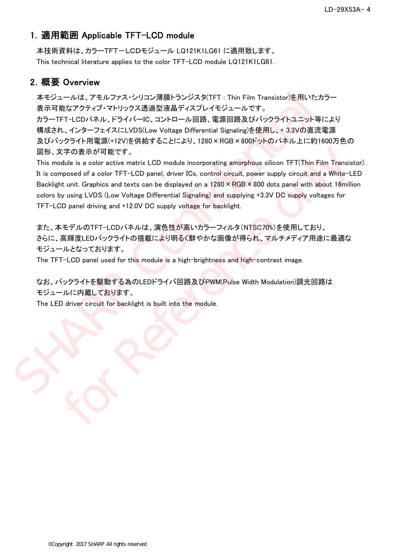## 1.適用範囲 Applicable TFT-LCD module

本技術資料は、カラーTFT-LCDモジュール LQ121K1LG61 に適用致します。 This technical literature applies to the color TFT-LCD module LQ121K1LG61.

## 2.概要 Overview

本モジュールは、アモルファス・シリコン薄膜トランジスタ(TFT : Thin Film Transistor)を用いたカラー 表示可能なアクティブ・マトリックス透過型液晶ディスプレイモジュールです。 カラーTFT-LCDパネル、ドライバーIC、コントロール回路、電源回路及びバックライトユニット等により 構成され、インターフェイスにLVDS(Low Voltage Differential Signaling)を使用し、+ 3.3Vの直流電源 及びバックライト用電源(+12V)を供給することにより、1280×RGB×800ドットのパネル上に約1600万色の 図形、文字の表示が可能です。 本モジュールは、アモルファス・シリコン薄膜トランジスタ(IFT : Thin Film Transistor)を用いたカラ<br>表示可能なアクティブ・マトリックス通過空液晶子イスプレイモジュールです。<br>カラーTFT-LGDバネル、ドライバーIC、コントロール回路、電源回路及びバックライトユニット等に、<br>*限成され、イン*ターフェイスにLVDS(Low Voltage Differential Signaling)を使用し、+ 3.3Vの直流

This module is a color active matrix LCD module incorporating amorphous silicon TFT(Thin Film Transistor). It is composed of a color TFT-LCD panel, driver ICs, control circuit, power supply circuit and a White-LED Backlight unit. Graphics and texts can be displayed on a 1280 × RGB × 800 dots panel with about 16million colors by using LVDS (Low Voltage Differential Signaling) and supplying +3.3V DC supply voltages for TFT-LCD panel driving and +12.0V DC supply voltage for backlight. :宇の表示が可能です。<br>conservative LCD module incorporating amorphous silicon TFT(Thin Film Transistance and a color TFT-LCD panel, driver ICs, control circuit, power supply circuit and a White-LE<br>t unit. Graphics and texts can be

また、本モデルのTFT-LCDパネルは、演色性が高いカラーフィルタ(NTSC70%)を使用しており、 さらに、高輝度LEDバックライトの搭載により明るく鮮やかな画像が得られ、マルチメディア用途に最適な モジュールとなっております。

The TFT-LCD panel used for this module is a high-brightness and high-contrast image.

なお、バックライトを駆動する為のLEDドライバ回路及びPWM(Pulse Width Modulation)調光回路は モジュールに内蔵しております。

The LED driver circuit for backlight is built into the module.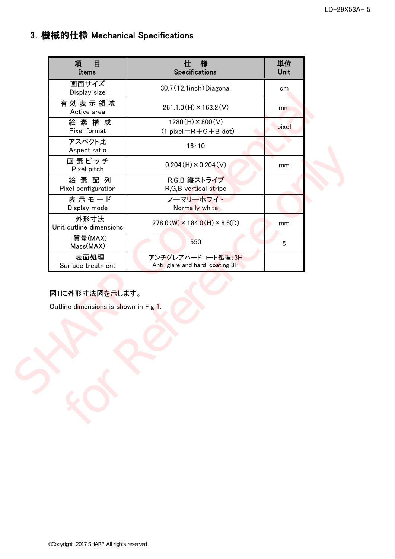# 3.機械的仕様 Mechanical Specifications

| 項<br>目<br>Items                                         | 様<br>仕<br>Specifications                               | 単位<br>Unit |  |
|---------------------------------------------------------|--------------------------------------------------------|------------|--|
| 画面サイズ<br>Display size                                   | 30.7 (12.1inch) Diagonal                               | cm         |  |
| 有効表示領域<br>Active area                                   | $261.1.0(H) \times 163.2(V)$                           | mm         |  |
| 絵素構成<br>Pixel format                                    | $1280(H) \times 800(V)$<br>$(1 pixel = R + G + B$ dot) | pixel      |  |
| アスペクト比<br>Aspect ratio                                  | 16:10                                                  |            |  |
| 画素ピッチ<br>Pixel pitch                                    | $0.204(H) \times 0.204(V)$                             | mm         |  |
| 絵素配列<br>Pixel configuration                             | R,G,B 縦ストライプ<br>R, G, B vertical stripe                |            |  |
| 表示モード<br>Display mode                                   | ノーマリーホワイト<br>Normally white                            |            |  |
| 外形寸法<br>Unit outline dimensions                         | $278.0(W) \times 184.0(H) \times 8.6(D)$               | mm         |  |
| 質量(MAX)<br>Mass(MAX)                                    | 550                                                    | g          |  |
| 表面処理<br>Surface treatment                               | アンチグレアハードコート処理:3H<br>Anti-glare and hard-coating 3H    |            |  |
|                                                         |                                                        |            |  |
| 図1に外形寸法図を示します。<br>Outline dimensions is shown in Fig 1. |                                                        |            |  |
|                                                         |                                                        |            |  |
|                                                         |                                                        |            |  |
|                                                         |                                                        |            |  |
|                                                         |                                                        |            |  |
|                                                         |                                                        |            |  |
|                                                         |                                                        |            |  |
|                                                         |                                                        |            |  |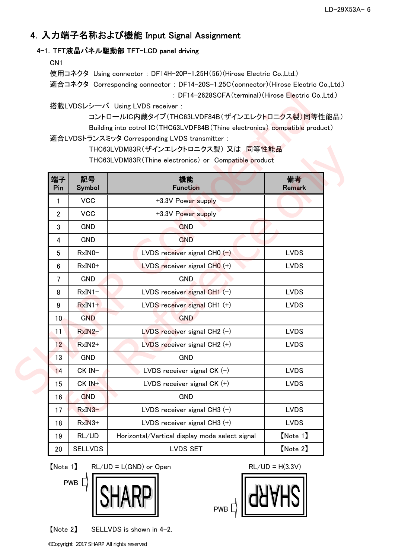# 4.入力端子名称および機能 Input Signal Assignment

### 4-1.TFT液晶パネル駆動部 TFT-LCD panel driving

CN1

使用コネクタ Using connector : DF14H-20P-1.25H(56)(Hirose Electric Co.,Ltd.) 適合コネクタ Corresponding connector : DF14-20S-1.25C(connector)(Hirose Electric Co.,Ltd.) : DF14-2628SCFA(terminal)(Hirose Electric Co.,Ltd.)

|                |                | : DF14-2628SCFA (terminal) (Hirose Electric Co., Ltd.)                        |                     |
|----------------|----------------|-------------------------------------------------------------------------------|---------------------|
|                |                | 搭載LVDSレシーバ Using LVDS receiver :                                              |                     |
|                |                | コントロールIC内蔵タイプ(THC63LVDF84B(ザインエレクトロニクス製)同等性能品)                                |                     |
|                |                | Building into cotrol IC (THC63LVDF84B (Thine electronics) compatible product) |                     |
|                |                | 適合LVDSトランスミッタ Corresponding LVDS transmitter:                                 |                     |
|                |                | THC63LVDM83R(ザインエレクトロニクス製) 又は 同等性能品                                           |                     |
|                |                | THC63LVDM83R (Thine electronics) or Compatible product                        |                     |
| 端子<br>Pin      | 記号<br>Symbol   | 機能<br>Function                                                                | 備考<br><b>Remark</b> |
| 1              | <b>VCC</b>     | +3.3V Power supply                                                            |                     |
| $\overline{2}$ | <b>VCC</b>     | +3.3V Power supply                                                            |                     |
| 3              | <b>GND</b>     | <b>GND</b>                                                                    |                     |
| 4              | <b>GND</b>     | <b>GND</b>                                                                    |                     |
| 5              | RxIN0-         | LVDS receiver signal CH0 $(-)$                                                | <b>LVDS</b>         |
| 6              | RxIN0+         | LVDS receiver signal $CHO (+)$                                                | <b>LVDS</b>         |
| 7              | <b>GND</b>     | <b>GND</b>                                                                    |                     |
| 8              | $RxIN1-$       | LVDS receiver signal $CH1(-)$                                                 | <b>LVDS</b>         |
| 9              | $RxIN1+$       | LVDS receiver signal CH1 (+)                                                  | <b>LVDS</b>         |
| 10             | <b>GND</b>     | <b>GND</b>                                                                    |                     |
| 11             | RxIN2-         | $LVDS$ receiver signal CH2 $(-)$                                              | <b>LVDS</b>         |
| 12             | RxIN2+         | $LVDS$ receiver signal CH2 $(+)$                                              | <b>LVDS</b>         |
| 13             | <b>GND</b>     | <b>GND</b>                                                                    |                     |
| 14             | CK IN-         | LVDS receiver signal CK $(-)$                                                 | <b>LVDS</b>         |
| 15             | CK IN+         | LVDS receiver signal $CK$ $(+)$                                               | <b>LVDS</b>         |
| 16             | <b>GND</b>     | <b>GND</b>                                                                    |                     |
| 17             | $RxIN3-$       | LVDS receiver signal CH3 $(-)$                                                | <b>LVDS</b>         |
| 18             | $RxIN3+$       | LVDS receiver signal $CH3 (+)$                                                | <b>LVDS</b>         |
| 19             | RL/UD          | Horizontal/Vertical display mode select signal                                | [Note 1]            |
| 20             | <b>SELLVDS</b> | <b>LVDS SET</b>                                                               | [Note 2]            |

 $[Note 1] \t RL/UD = L(GND) \t or \t Open \t RL/UD = H(3.3V)$ 



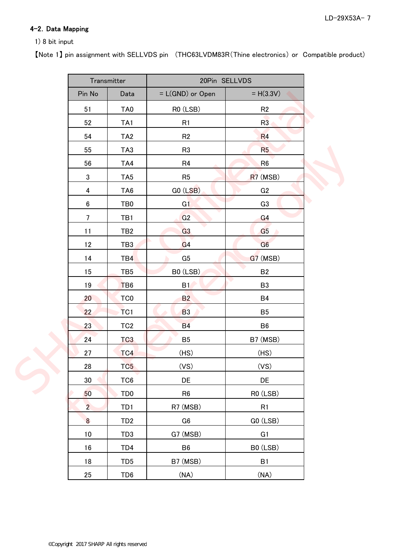## 4-2. Data Mapping

#### 1) 8 bit input

【Note 1】 pin assignment with SELLVDS pin (THC63LVDM83R(Thine electronics) or Compatible product)

|                      |                         | Transmitter     | 20Pin SELLVDS                   |                |  |
|----------------------|-------------------------|-----------------|---------------------------------|----------------|--|
|                      | Pin No                  | Data            | = L(GND) or Open<br>$= H(3.3V)$ |                |  |
|                      | 51                      | TA <sub>0</sub> | RO (LSB)                        | R <sub>2</sub> |  |
|                      | 52                      | TA <sub>1</sub> | R1                              | R3             |  |
|                      | 54                      | TA <sub>2</sub> | R2                              | R4             |  |
|                      | 55                      | TA <sub>3</sub> | R <sub>3</sub>                  | R <sub>5</sub> |  |
|                      | 56                      | TA4             | R <sub>4</sub>                  | R <sub>6</sub> |  |
|                      | $\sqrt{3}$              | TA <sub>5</sub> | R <sub>5</sub>                  | R7 (MSB)       |  |
|                      | $\overline{\mathbf{4}}$ | TA <sub>6</sub> | GO (LSB)                        | G <sub>2</sub> |  |
|                      | $6\phantom{a}$          | TB0             | G1                              | G <sub>3</sub> |  |
|                      | $\overline{7}$          | TB1             | G2                              | G4             |  |
|                      | 11                      | TB <sub>2</sub> | G <sub>3</sub>                  | G <sub>5</sub> |  |
|                      | 12                      | TB <sub>3</sub> | G <sub>4</sub>                  | G6             |  |
|                      | 14                      | TB4             | G <sub>5</sub>                  | $G7$ (MSB)     |  |
|                      | 15                      | TB <sub>5</sub> | B0 (LSB)                        | <b>B2</b>      |  |
|                      | 19                      | T <sub>B6</sub> | B1                              | B <sub>3</sub> |  |
|                      | 20 <sub>2</sub>         | TC <sub>0</sub> | B2                              | <b>B4</b>      |  |
|                      | 22                      | TC <sub>1</sub> | <b>B3</b>                       | B <sub>5</sub> |  |
|                      | 23                      | TC <sub>2</sub> | <b>B4</b>                       | B <sub>6</sub> |  |
|                      | 24                      | TC <sub>3</sub> | B <sub>5</sub>                  | B7 (MSB)       |  |
|                      | 27                      | TC4             | (HS)                            | (HS)           |  |
| $\blacktriangledown$ | 28                      | TC <sub>5</sub> | (VS)                            | (VS)           |  |
|                      | $30\,$                  | TC <sub>6</sub> | DE                              | DE             |  |
|                      | 50                      | TD <sub>0</sub> | R <sub>6</sub>                  | R0 (LSB)       |  |
|                      | $\overline{2}$          | TD1             | R7 (MSB)                        | R1             |  |
|                      | $\overline{\mathbf{8}}$ | TD <sub>2</sub> | ${\bf G6}$                      | GO (LSB)       |  |
|                      | $10$                    | TD <sub>3</sub> | G7 (MSB)                        | G1             |  |
|                      | 16                      | TD4             | B <sub>6</sub>                  | B0 (LSB)       |  |
|                      | 18                      | TD <sub>5</sub> | B7 (MSB)                        | B1             |  |
|                      | 25                      | TD <sub>6</sub> | (NA)                            | (NA)           |  |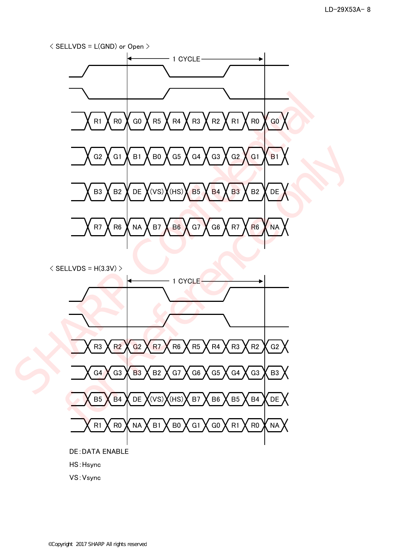

 $\langle$  SELLVDS = H(3.3V)  $>$ 



VS:Vsync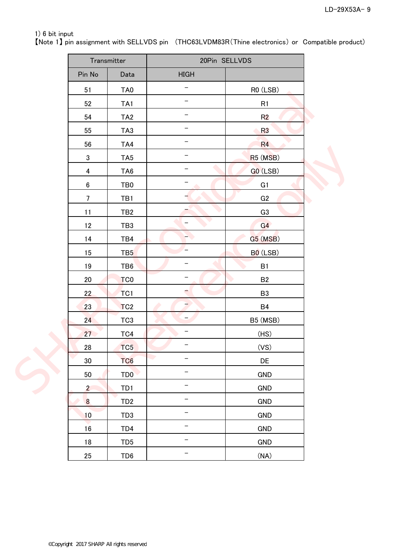## 1) 6 bit input

【Note 1】 pin assignment with SELLVDS pin (THC63LVDM83R(Thine electronics) or Compatible product)

|                  |                  | Transmitter     | 20Pin SELLVDS            |                                   |  |
|------------------|------------------|-----------------|--------------------------|-----------------------------------|--|
|                  | Pin No           | Data            | <b>HIGH</b>              |                                   |  |
|                  | 51               | TA0             |                          | RO (LSB)                          |  |
|                  | 52               | TA <sub>1</sub> |                          | R1                                |  |
|                  | 54               | TA <sub>2</sub> |                          | R <sub>2</sub>                    |  |
|                  | 55               | TA <sub>3</sub> | -                        | <b>R3</b>                         |  |
|                  | 56               | TA4             |                          | R4                                |  |
|                  | $\sqrt{3}$       | TA <sub>5</sub> |                          | R <sub>5</sub> (M <sub>SB</sub> ) |  |
|                  | 4                | TA <sub>6</sub> | ۰                        | $GO$ (LSB)                        |  |
|                  | $\boldsymbol{6}$ | TB <sub>0</sub> | $\qquad \qquad -$        | G1                                |  |
|                  | $\overline{7}$   | TB1             |                          | G2                                |  |
|                  | 11               | TB <sub>2</sub> |                          | G <sub>3</sub>                    |  |
|                  | 12               | TB <sub>3</sub> | -                        | G4                                |  |
|                  | 14               | TB4             | $\blacktriangleright$    | G5 (MSB)                          |  |
|                  | 15               | TB <sub>5</sub> |                          | B <sub>0</sub> (LSB)              |  |
|                  | 19               | TB6             | -                        | B1                                |  |
|                  | $20\,$           | TC <sub>0</sub> | -                        | <b>B2</b>                         |  |
|                  | 22               | TC <sub>1</sub> | $\overline{\phantom{a}}$ | B <sub>3</sub>                    |  |
|                  | 23               | TC <sub>2</sub> | $\overline{\phantom{a}}$ | <b>B4</b>                         |  |
|                  | 24 <sup>°</sup>  | TC <sub>3</sub> | -                        | B5 (MSB)                          |  |
|                  | 27               | TC4             |                          | (HS)                              |  |
| $\blacktriangle$ | 28               | TC <sub>5</sub> |                          | (VS)                              |  |
|                  | $30\,$           | TC <sub>6</sub> | $\overline{\phantom{a}}$ | DE                                |  |
|                  | 50               | TD <sub>0</sub> | -                        | <b>GND</b>                        |  |
|                  | $\overline{2}$   | TD1             | -                        | <b>GND</b>                        |  |
|                  | $\overline{8}$   | TD <sub>2</sub> | —                        | <b>GND</b>                        |  |
|                  | 10               | TD <sub>3</sub> | $\overline{\phantom{0}}$ | <b>GND</b>                        |  |
|                  | $16\,$           | TD4             | $\qquad \qquad -$        | <b>GND</b>                        |  |
|                  | 18               | TD <sub>5</sub> |                          | GND                               |  |
|                  | 25               | TD <sub>6</sub> | -                        | (NA)                              |  |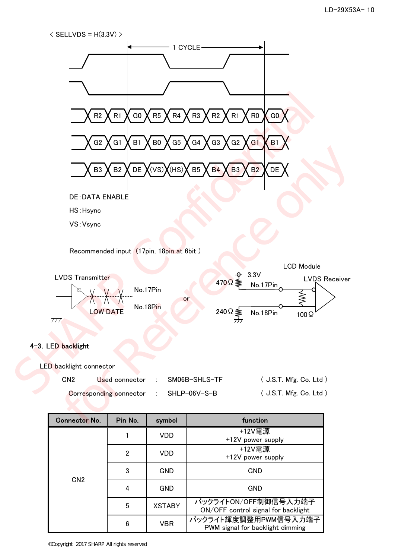



#### 4-3. LED backlight

| LED backlight connector |                                        |                                |                        |
|-------------------------|----------------------------------------|--------------------------------|------------------------|
| CN <sub>2</sub>         |                                        | Used connector : SM06B-SHLS-TF | (J.S.T. Mfg. Co. Ltd.) |
|                         | Corresponding connector : SHLP-06V-S-B |                                | (J.S.T. Mfg. Co. Ltd.) |

| <b>Connector No.</b> | Pin No.        | symbol        | function                                                    |
|----------------------|----------------|---------------|-------------------------------------------------------------|
|                      |                | VDD           | +12V電源<br>+12V power supply                                 |
|                      | $\overline{2}$ | VDD           | +12V電源<br>+12V power supply                                 |
|                      | 3              | <b>GND</b>    | GND                                                         |
| CN <sub>2</sub>      | 4              | <b>GND</b>    | <b>GND</b>                                                  |
|                      | 5              | <b>XSTABY</b> | バックライトON/OFF制御信号入力端子<br>ON/OFF control signal for backlight |
|                      | 6              | <b>VBR</b>    | バックライト輝度調整用PWM信号入力端子<br>PWM signal for backlight dimming    |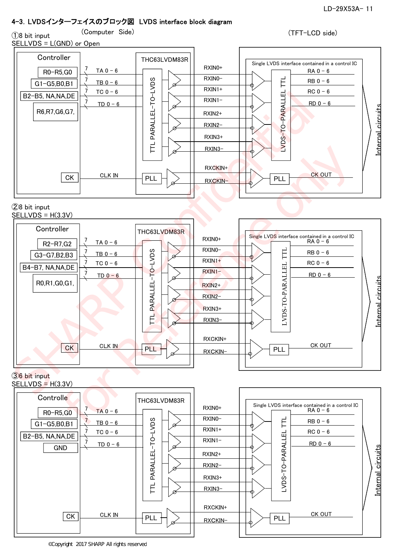Internal circuits

<u>Internal circuits</u>

# 4-3.LVDSインターフェイスのブロック図 LVDS interface block diagram

①8 bit input (Computer Side) (TFT-LCD side)

SELLVDS = L(GND) or Open **Controller** THC63LVDM83R Single LVDS interface contained in a control IC RXIN0+ 7  $TA 0 - 6$ R0-R5,G0  $RA$   $0 - 6$ RXIN0- 7 LVDS-TO-PARALLEL TTL TTL PARALLEL-TO-LVDS  $RB 0 - 6$  $TB$  0 - 6 Ē G1-G5,B0,B1  $\vec{7}$ RXIN1+ TC  $0 - 6$  $RC<sub>0</sub> - 6$ B2-B5, NA,NA,DE  $\rightarrow$ RXIN1-  $RD$   $0 - 6$  $TD 0 - 6$ R6,R7,G6,G7, RXIN2+ RXIN2- RXIN3+ RXIN3- RXCKIN+ **CK OUT**  $CK$  CLK IN PLL  $\left|\sum_{\text{RXCKIN}}\right|$ PLL PLL

#### ②8 bit input  $SELLVDS = H(3.3V)$



# ③6 bit input

#### $SELLVDS = H(3.3V)$

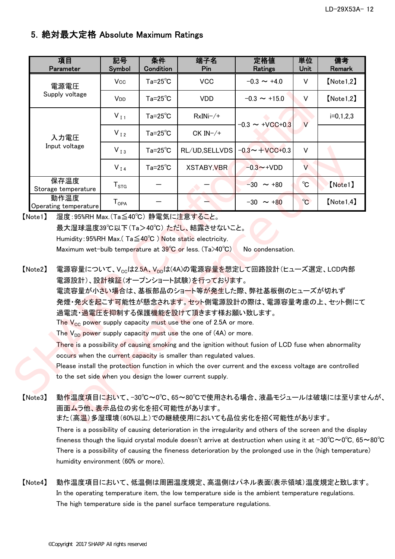# 5.絶対最大定格 Absolute Maximum Ratings

| 項目<br>Parameter                                                                                                                                                                                                                                                                                                                                                                                                                                                                                                                                                                                                                                                                                                                                                                                         | 記号<br><b>Symbol</b> | 条件<br>Condition    | 端子名<br>Pin                                                                                                                 | 定格値<br>Ratings       | 単位<br>Unit   | 備考<br>Remark |  |
|---------------------------------------------------------------------------------------------------------------------------------------------------------------------------------------------------------------------------------------------------------------------------------------------------------------------------------------------------------------------------------------------------------------------------------------------------------------------------------------------------------------------------------------------------------------------------------------------------------------------------------------------------------------------------------------------------------------------------------------------------------------------------------------------------------|---------------------|--------------------|----------------------------------------------------------------------------------------------------------------------------|----------------------|--------------|--------------|--|
| 電源電圧                                                                                                                                                                                                                                                                                                                                                                                                                                                                                                                                                                                                                                                                                                                                                                                                    | Vcc                 | $Ta=25^{\circ}C$   | <b>VCC</b>                                                                                                                 | $-0.3 \sim +4.0$     | $\vee$       | [Note 1, 2]  |  |
| Supply voltage                                                                                                                                                                                                                                                                                                                                                                                                                                                                                                                                                                                                                                                                                                                                                                                          | V <sub>DD</sub>     | $Ta = 25^{\circ}C$ | <b>VDD</b>                                                                                                                 | $-0.3 \sim +15.0$    | $\vee$       | [Note 1, 2]  |  |
|                                                                                                                                                                                                                                                                                                                                                                                                                                                                                                                                                                                                                                                                                                                                                                                                         | $V_{I1}$            | $Ta=25^{\circ}C$   | $RxINi-/+$                                                                                                                 |                      |              | $i=0,1,2,3$  |  |
| 入力電圧                                                                                                                                                                                                                                                                                                                                                                                                                                                                                                                                                                                                                                                                                                                                                                                                    | $V_{I2}$            | $Ta=25^{\circ}C$   | $CK IN-/+$                                                                                                                 | $-0.3 \sim +VCC+0.3$ | $\vee$       |              |  |
| Input voltage                                                                                                                                                                                                                                                                                                                                                                                                                                                                                                                                                                                                                                                                                                                                                                                           | $V_{I3}$            | $Ta=25^{\circ}C$   | RL/UD, SELLVDS                                                                                                             | $-0.3 - +$ VCC+0.3   | $\vee$       |              |  |
|                                                                                                                                                                                                                                                                                                                                                                                                                                                                                                                                                                                                                                                                                                                                                                                                         | $V_{I4}$            | $Ta = 25^{\circ}C$ | <b>XSTABY, VBR</b>                                                                                                         | $-0.3 \sim +VDD$     | $\vee$       |              |  |
| 保存温度<br>Storage temperature                                                                                                                                                                                                                                                                                                                                                                                                                                                                                                                                                                                                                                                                                                                                                                             | $T_{STG}$           |                    |                                                                                                                            | $-30 \sim +80$       | $^{\circ}$ C | [Note1]      |  |
| 動作温度<br>Operating temperature                                                                                                                                                                                                                                                                                                                                                                                                                                                                                                                                                                                                                                                                                                                                                                           | $T_{OPA}$           |                    |                                                                                                                            | $-30 \sim +80$       | $^{\circ}$ C | [Note 1, 4]  |  |
|                                                                                                                                                                                                                                                                                                                                                                                                                                                                                                                                                                                                                                                                                                                                                                                                         |                     |                    | 最大湿球温度39℃以下(Ta>40℃)ただし、結露させないこと。<br>Humidity: 95%RH Max. (Ta≦40°C) Note static electricity.                                |                      |              |              |  |
| Maximum wet-bulb temperature at $39^{\circ}$ C or less. (Ta>40°C)<br>No condensation.<br>[Note2]<br>電源容量について、V <sub>cc</sub> は2.5A、V <sub>pp</sub> は(4A)の電源容量を想定して回路設計(ヒューズ選定、LCD内部<br>電源設計)、設計検証(オープンショート試験)を行っております。<br>電流容量が小さい場合は、基板部品のショート等が発生した際、弊社基板側のヒューズが切れず<br>発煙・発火を起こす可能性が懸念されます。セット側電源設計の際は、電源容量考慮の上、セット側にて<br>過電流・過電圧を抑制する保護機能を設けて頂きます様お願い致します。<br>The $V_{CC}$ power supply capacity must use the one of 2.5A or more.<br>The $V_{DD}$ power supply capacity must use the one of (4A) or more.<br>There is a possibility of causing smoking and the ignition without fusion of LCD fuse when abnormality<br>occurs when the current capacity is smaller than regulated values.<br>Please install the protection function in which the over current and the excess voltage are controlled |                     |                    |                                                                                                                            |                      |              |              |  |
| ۰ ^ ۱                                                                                                                                                                                                                                                                                                                                                                                                                                                                                                                                                                                                                                                                                                                                                                                                   |                     |                    | to the set side when you design the lower current supply.<br><u> 私佐浪産活ロピゼリオ _ 20℃、0℃ ℃、00℃式床田されて担ム _ 法日ェジ」 _ 正土地誌には本は土</u> |                      |              |              |  |

【Note2】 電源容量について、Vccは2.5A、Vppは(4A)の電源容量を想定して回路設計(ヒューズ選定、LCD内部 電源設計)、設計検証(オープンショート試験)を行っております。 電流容量が小さい場合は、基板部品のショート等が発生した際、弊社基板側のヒューズが切れず 発煙・発火を起こす可能性が懸念されます。セット側電源設計の際は、電源容量考慮の上、セット側にて 過電流・過電圧を抑制する保護機能を設けて頂きます様お願い致します。 The  $V_{CC}$  power supply capacity must use the one of 2.5A or more. The  $V_{DD}$  power supply capacity must use the one of (4A) or more. There is a possibility of causing smoking and the ignition without fusion of LCD fuse when abnormality occurs when the current capacity is smaller than regulated values. Please install the protection function in which the over current and the excess voltage are controlled for Reference only

## 【Note3】 動作温度項目において、-30℃~0℃、65~80℃で使用される場合、液晶モジュールは破壊には至りませんが、 画面ムラ他、表示品位の劣化を招く可能性があります。

また(高温)多湿環境(60%以上)での継続使用においても品位劣化を招く可能性があります。

There is a possibility of causing deterioration in the irregularity and others of the screen and the display fineness though the liquid crystal module doesn't arrive at destruction when using it at  $-30^{\circ}\text{C} \sim 0^{\circ}\text{C}$ , 65~80 $^{\circ}\text{C}$ There is a possibility of causing the fineness deterioration by the prolonged use in the (high temperature) humidity environment (60% or more).

## 【Note4】 動作温度項目において、低温側は周囲温度規定、高温側はパネル表面(表示領域)温度規定と致します。 In the operating temperature item, the low temperature side is the ambient temperature regulations. The high temperature side is the panel surface temperature regulations.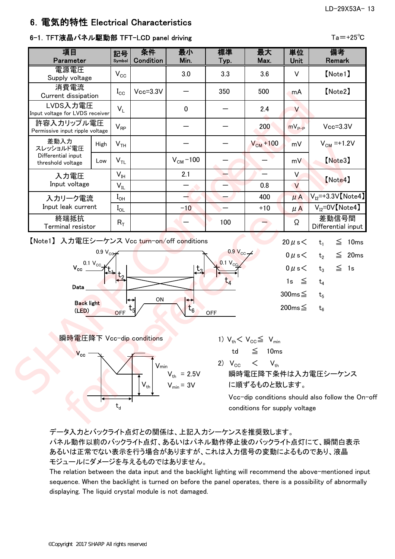# 6.電気的特性 Electrical Characteristics

## 6-1. TFT液晶パネル駆動部 TFT-LCD panel driving Tarrow Tame Ta = +25℃

| 項目<br>Parameter                                                                                                                                                                                                                                                                                                  |                                     | 記号<br>Symbol                                             | 条件<br>Condition | 最小<br>Min.        | 標準<br>Typ.                    | 最大<br>Max.                      | 単位<br><b>Unit</b> | 備考<br>Remark                |  |
|------------------------------------------------------------------------------------------------------------------------------------------------------------------------------------------------------------------------------------------------------------------------------------------------------------------|-------------------------------------|----------------------------------------------------------|-----------------|-------------------|-------------------------------|---------------------------------|-------------------|-----------------------------|--|
| 電源電圧<br>Supply voltage                                                                                                                                                                                                                                                                                           |                                     | $V_{\rm CC}$                                             |                 | 3.0               | 3.3                           | 3.6                             | $\vee$            | [Note1]                     |  |
| 消費電流<br>Current dissipation                                                                                                                                                                                                                                                                                      |                                     | $I_{\rm CC}$                                             | $Vcc = 3.3V$    |                   | 350                           | 500                             | mA                | [Note2]                     |  |
| LVDS入力電圧<br>Input voltage for LVDS receiver                                                                                                                                                                                                                                                                      |                                     | $V_{\perp}$                                              |                 | $\mathbf 0$       |                               | 2.4                             | $\vee$            |                             |  |
| 許容入カリップル電圧<br>Permissive input ripple voltage                                                                                                                                                                                                                                                                    |                                     | $V_{RP}$                                                 |                 |                   |                               | 200                             | $mV_{P-P}$        | $Vcc = 3.3V$                |  |
| 差動入力<br>スレッショルド電圧                                                                                                                                                                                                                                                                                                | <b>High</b>                         | V <sub>TH</sub>                                          |                 |                   |                               | $V_{CM}$ +100                   | mV                | $V_{CM} = +1.2V$            |  |
| Differential input<br>threshold voltage                                                                                                                                                                                                                                                                          | Low                                 | V <sub>TL</sub>                                          |                 | $VCM - 100$       |                               |                                 | mV.               | [Note3]                     |  |
| 入力電圧<br>Input voltage                                                                                                                                                                                                                                                                                            |                                     | $\mathsf{V}_{\mathsf{IH}}$<br>$\mathsf{V}_{\mathsf{IL}}$ |                 | 2.1               |                               | $\overline{\phantom{0}}$<br>0.8 | V<br>$\vee$       | [Note4]                     |  |
| 入カリーク電流                                                                                                                                                                                                                                                                                                          |                                     | $I_{OH}$                                                 |                 |                   |                               | 400                             | $\mu$ A           | $V_{12}$ =+3.3V [Note4]     |  |
| Input leak current                                                                                                                                                                                                                                                                                               |                                     | $I_{OL}$                                                 |                 | $-10$             |                               | $+10$                           | $\mu$ A           | $V_{12} = 0V$ [Note4]       |  |
| 終端抵抗<br>Terminal resistor                                                                                                                                                                                                                                                                                        |                                     | $R_T$                                                    |                 |                   | 100                           |                                 | Ω                 | 差動信号間<br>Differential input |  |
| 【Note1】 入力電圧シーケンス Vcc turn-on/off conditions                                                                                                                                                                                                                                                                     |                                     |                                                          |                 |                   | $0.9 V_{\text{cc}}$           |                                 | 20 $\mu$ s $<$    | $\leq$ 10ms<br>$t_{1}$      |  |
|                                                                                                                                                                                                                                                                                                                  | 0.9 $V_{CO}$<br>$0.1 V_{\text{CC}}$ |                                                          |                 |                   | $0.1 V_{\text{CO}}$           |                                 | $0 \mu s$         | $\leq$ 20ms<br>$t_{2}$      |  |
| $V_{cc}$ $\sim$                                                                                                                                                                                                                                                                                                  |                                     |                                                          |                 | $t_{3}$           |                               |                                 | $0 \mu s$         | $\leq$ 1s<br>$t_3$          |  |
| Data                                                                                                                                                                                                                                                                                                             |                                     |                                                          |                 |                   | $\operatorname{\mathsf{t}}_4$ |                                 | 1s $\leq$         | $t_4$                       |  |
| <b>Back light</b>                                                                                                                                                                                                                                                                                                |                                     |                                                          | ON              | $\leftrightarrow$ |                               |                                 | $300ms \leq$      | t <sub>5</sub>              |  |
| (LED)                                                                                                                                                                                                                                                                                                            |                                     | <b>OFF</b>                                               |                 | $t_6$             | <b>OFF</b>                    |                                 | $200ms \leq$      | $t_6$                       |  |
| 瞬時電圧降下 Vcc-dip conditions                                                                                                                                                                                                                                                                                        |                                     |                                                          |                 |                   |                               |                                 |                   |                             |  |
|                                                                                                                                                                                                                                                                                                                  |                                     |                                                          |                 |                   |                               |                                 |                   |                             |  |
| 1) $V_{th} < V_{CC} \leq V_{min}$<br>$\leq$ 10ms<br>td<br>$V_{\rm cc}$<br>2) $V_{CC}$<br>$\lt$<br>$V_{\text{th}}$<br>$V_{min}$<br>瞬時電圧降下条件は入力電圧シーケンス<br>$V_{th}$ = 2.5V<br>$V_{th}$<br>$V_{min} = 3V$<br>に順ずるものと致します。<br>Vcc-dip conditions should also follow the On-<br>$t_d$<br>conditions for supply voltage |                                     |                                                          |                 |                   |                               |                                 |                   |                             |  |
|                                                                                                                                                                                                                                                                                                                  |                                     |                                                          |                 |                   |                               |                                 |                   |                             |  |

## 【Note1】 入力電圧シーケンス Vcc turn-on/off conditions 20μs<  $t_1 \leq 10$ ms





> Vcc-dip conditions should also follow the On-off conditions for supply voltage

## データ入力とバックライト点灯との関係は、上記入力シーケンスを推奨致します。

パネル動作以前のバックライト点灯、あるいはパネル動作停止後のバックライト点灯にて、瞬間白表示 あるいは正常でない表示を行う場合がありますが、これは入力信号の変動によるものであり、液晶 モジュールにダメージを与えるものではありません。

The relation between the data input and the backlight lighting will recommend the above-mentioned input sequence. When the backlight is turned on before the panel operates, there is a possibility of abnormally displaying. The liquid crystal module is not damaged.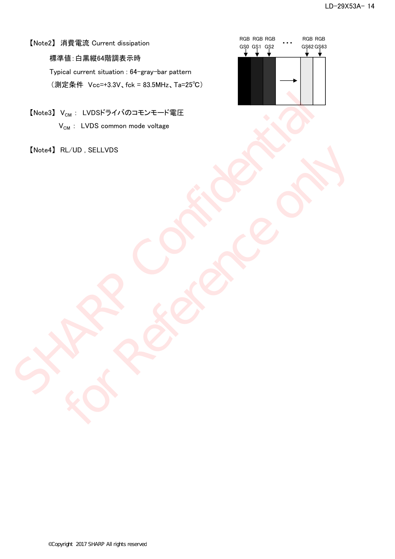## 【Note2】 消費電流 Current dissipation

標準値:白黒縦64階調表示時

Typical current situation : 64-gray-bar pattern (測定条件 Vcc=+3.3V、fck = 83.5MHz、Ta=25℃)

【Note3】 V<sub>CM</sub>: LVDSドライバのコモンモード電圧  $V_{CM}$  : LVDS common mode voltage ENotes]  $V_{\text{ex}}$ : LVDSF94/KØJ=E-ZE-FREE<br>  $V_{\text{ex}}$ : LVDS common mode voltage<br>  $\begin{pmatrix} 0 & 0 \\ 0 & 0 \end{pmatrix}$ <br>  $\begin{pmatrix} 0 & 0 \\ 0 & 0 \end{pmatrix}$ 

【Note4】 RL/UD , SELLVDS For Reference only the

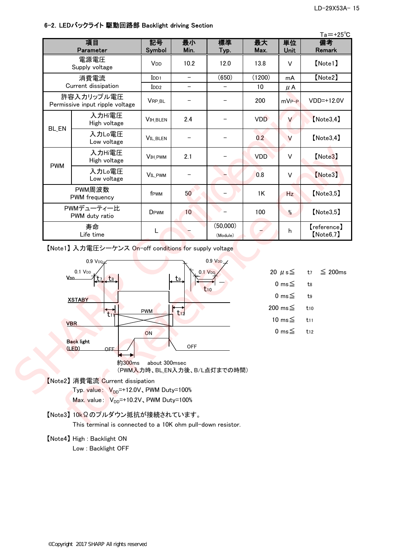#### 6-2.LEDバックライト 駆動回路部 Backlight driving Section

|                                                                                                                                        |                                                                                       |                                  |                          |                                                            |                                        |            | $Ta = +25^{\circ}C$       |
|----------------------------------------------------------------------------------------------------------------------------------------|---------------------------------------------------------------------------------------|----------------------------------|--------------------------|------------------------------------------------------------|----------------------------------------|------------|---------------------------|
|                                                                                                                                        | 項目<br>Parameter                                                                       | 記号<br>Symbol                     | 最小<br>Min.               | 標準<br>Typ.                                                 | 最大<br>Max.                             | 単位<br>Unit | 備考<br>Remark              |
|                                                                                                                                        | 電源電圧<br>Supply voltage                                                                | V <sub>DD</sub>                  | 10.2                     | 12.0                                                       | 13.8                                   | $\vee$     | [Note1]                   |
|                                                                                                                                        | 消費電流                                                                                  | $I$ <sub>DD1</sub>               | $\overline{\phantom{m}}$ | (650)                                                      | (1200)                                 | mA         | [Note2]                   |
|                                                                                                                                        | Current dissipation                                                                   | I <sub>DD2</sub>                 | $\overline{\phantom{0}}$ |                                                            | 10                                     | $\mu$ A    |                           |
|                                                                                                                                        | 許容入カリップル電圧<br>Permissive input ripple voltage                                         | VRP_BL                           |                          |                                                            | 200                                    | $mV_{P-P}$ | VDD=+12.0V                |
| <b>BL_EN</b>                                                                                                                           | 入力Hi電圧<br>High voltage                                                                | <b>VIH_BLEN</b>                  | 2.4                      |                                                            | <b>VDD</b>                             | V          | [Note3, 4]                |
|                                                                                                                                        | 入力Lo電圧<br>Low voltage                                                                 | <b>VIL_BLEN</b>                  | -                        |                                                            | 0.2                                    | V          | [Note3, 4]                |
| <b>PWM</b>                                                                                                                             | 入力Hi電圧<br>High voltage                                                                | VIH_PWM                          | 2.1                      |                                                            | <b>VDD</b>                             | $\vee$     | [Note3]                   |
|                                                                                                                                        | 入力Lo電圧<br>Low voltage                                                                 | <b>VIL_PWM</b>                   |                          |                                                            | 0.8                                    | $\vee$     | [Note3]                   |
|                                                                                                                                        | PWM周波数<br>PWM frequency                                                               | f <sub>PWM</sub>                 | 50                       |                                                            | 1K                                     | Hz         | [Note3, 5]                |
|                                                                                                                                        | PWMデューティー比<br>PWM duty ratio                                                          | DPWM                             | 10                       |                                                            | 100                                    | $\%$       | [Note3, 5]                |
|                                                                                                                                        | 寿命<br>Life time                                                                       | L                                |                          | (50,000)<br>(Module)                                       |                                        | h          | 【reference】<br>[Note6, 7] |
|                                                                                                                                        | 【Note1】 入力電圧シーケンス On-off conditions for supply voltage                                |                                  |                          |                                                            |                                        |            |                           |
| V.D.D.                                                                                                                                 | $0.9$ V <sub>DD</sub><br>0.1 V <sub>DD</sub><br>t <sub>8</sub><br><b>XSTABY</b>       | 0.9 VDD<br>$0.1$ V <sub>DD</sub> |                          | 20 $\mu$ s $\leq$<br>0 ms $\leq$<br>0 ms $\leq$<br>200 ms≦ | $\leq 200$ ms<br>t7<br>t8<br>t9<br>t10 |            |                           |
|                                                                                                                                        | <b>VBR</b>                                                                            | <b>PWM</b>                       | $\overline{t_{12}}$      |                                                            | 10 ms $\leq$                           |            | t11                       |
| 0 ms $\leq$<br>ON<br><b>Back light</b><br><b>OFF</b><br>(LED)<br><b>OFF</b><br>約300ms<br>about 300msec<br>(PWM入力時、BL_EN入力後、B/L点灯までの時間) |                                                                                       |                                  |                          |                                                            |                                        |            | $t_{12}$                  |
|                                                                                                                                        | 【Note2】消費電流 Current dissipation<br>Typ. value: V <sub>DD</sub> =+12.0V, PWM Duty=100% |                                  |                          |                                                            |                                        |            |                           |
|                                                                                                                                        |                                                                                       |                                  |                          |                                                            |                                        |            |                           |



### 【Note2】 消費電流 Current dissipation Typ. value:  $V_{DD}$ =+12.0V, PWM Duty=100%  $Max.$  value:  $V_{DD}$ =+10.2V, PWM Duty=100%

【Note3】 10kΩのプルダウン抵抗が接続されています。

This terminal is connected to a 10K ohm pull-down resistor.

【Note4】 High : Backlight ON

Low : Backlight OFF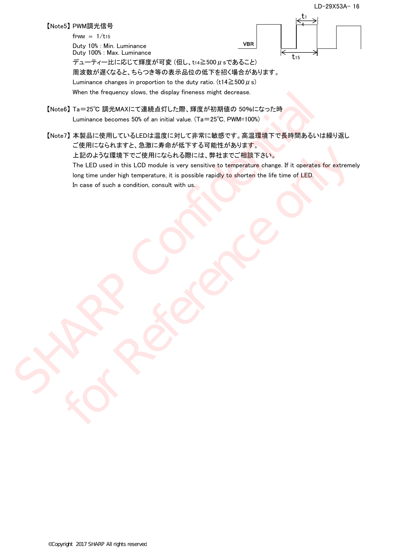【Note5】 PWM調光信号

 $f$ PWM =  $1/t_{15}$ 

Duty 10% : Min. Luminance Duty 100% : Max. Luminance



デューティー比に応じて輝度が可変 $(4L, t_{14} \geq 500 \,\mu \,s$ であること) 周波数が遅くなると、ちらつき等の表示品位の低下を招く場合があります。 Luminance changes in proportion to the duty ratio. (t14 $\geq$ 500  $\mu$  s)

When the frequency slows, the display fineness might decrease.

- 【Note6】 Ta=25℃ 調光MAXにて連続点灯した際、輝度が初期値の 50%になった時 Luminance becomes 50% of an initial value. (Ta=25℃, PWM=100%)
- 【Note7】 本製品に使用しているLEDは温度に対して非常に敏感です。高温環境下で長時間あるいは繰り返し ご使用になられますと、急激に寿命が低下する可能性があります。 上記のような環境下でご使用になられる際には、弊社までご相談下さい。 The LED used in this LCD module is very sensitive to temperature change. If it operates for extremely long time under high temperature, it is possible rapidly to shorten the life time of LED. In case of such a condition, consult with us. When the fraguency slows. the display hneness might decrease.<br>
[Note5] Ta=25C B 調光MACに<br/>K B (16 = 25C D PWM=1000)<br>
<br>
[Note7] 本製品に使用しているLEDは温度に対して非常に敏感です。高温環境下で長時間あるいは<br>
<br>
<br/>
The LED Jack 通知では、このことは、日本には、日本には、日本には、日本 LED AS 74 THE TREAT 9 C. (BURLI-17 THE FIRST DRIVER PS OF BILED WORD AS 74 THE TREAT CHEMICAL SPACE (BURLI-17 THE PACE ONLY SURFLED AND SPACE ONLY SURFLED AND SPACE ONLY SURFLED AND SPACE ONLY SURFLED USED IN DISTRICT AND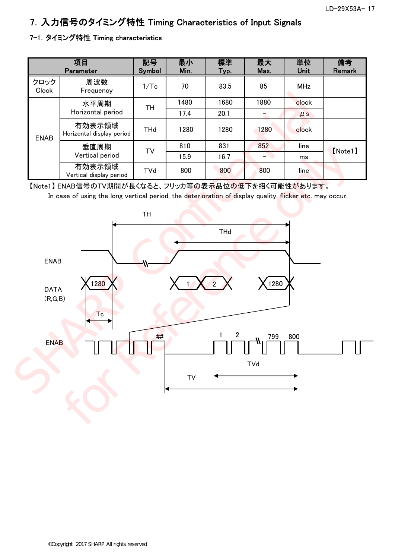# 7.入力信号のタイミング特性 Timing Characteristics of Input Signals

## 7-1. タイミング特性 Timing characteristics

|               | 項目<br>Parameter                     | 記号<br>Symbol | 最小<br>Min. | 標準<br>Typ. | 最大<br>Max. | 単位<br>Unit | 備考<br>Remark |
|---------------|-------------------------------------|--------------|------------|------------|------------|------------|--------------|
| クロック<br>Clock | 周波数<br>Frequency                    | 1/Tc         | 70         | 83.5       | 85         | <b>MHz</b> |              |
|               | 水平周期                                | TН           | 1480       | 1680       | 1880       | clock      |              |
|               | Horizontal period                   |              | 17.4       | 20.1       |            | $\mu$ s    |              |
| <b>ENAB</b>   | 有効表示領域<br>Horizontal display period | <b>THd</b>   | 1280       | 1280       | 1280       | clock      |              |
|               | 垂直周期                                | TV           | 810        | 831        | 852        | line       | [Note1]      |
|               | Vertical period                     |              | 15.9       | 16.7       |            | ms         |              |
|               | 有効表示領域<br>Vertical display period   | TVd          | 800        | 800        | 800        | line       |              |

【Note1】 ENAB信号のTV期間が長くなると、フリッカ等の表示品位の低下を招く可能性があります。

In case of using the long vertical period, the deterioration of display quality, flicker etc. may occur.

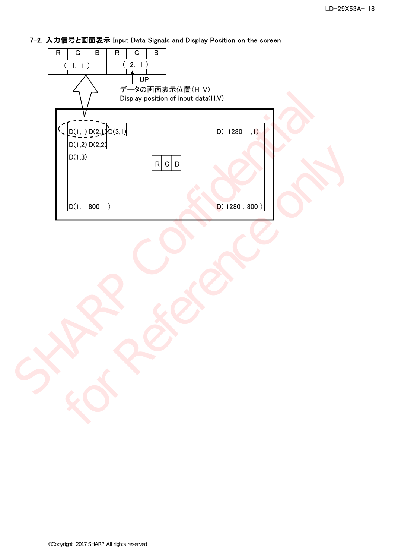# 7-2.入力信号と画面表示 Input Data Signals and Display Position on the screen

| $\sf B$<br>$\mathsf R$<br>G<br>$\mathsf R$<br>$\sf B$<br>G<br>(2, 1)<br>(1, 1)<br>UP<br>データの画面表示位置(H, V)<br>Display position of input data(H,V) |                  |
|-------------------------------------------------------------------------------------------------------------------------------------------------|------------------|
| $\sim$ $D(1,1)D(2,1)D(3,1)$<br>$\mathcal{L}_{\mathcal{L}}$<br>D(1,2)D(2,2)<br>D(1,3)<br>R G B                                                   | $D($ 1280<br>,1) |
| D(1, 800)                                                                                                                                       | D(1280, 800)     |
|                                                                                                                                                 |                  |
|                                                                                                                                                 |                  |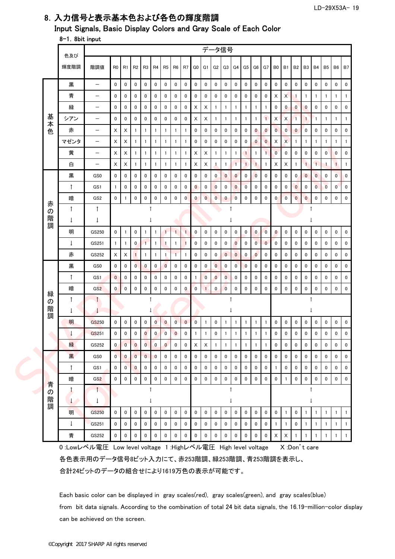# 8.入力信号と表示基本色および各色の輝度階調

Input Signals, Basic Display Colors and Gray Scale of Each Color

#### 8-1.8bit input

|  |             | 色及び                        |                                                             |                |                            |                |                         |              |                |                |                |                    |                |                | データ信号          |                |                |                 |                |                |                           |                      |              |              |                |              |              |
|--|-------------|----------------------------|-------------------------------------------------------------|----------------|----------------------------|----------------|-------------------------|--------------|----------------|----------------|----------------|--------------------|----------------|----------------|----------------|----------------|----------------|-----------------|----------------|----------------|---------------------------|----------------------|--------------|--------------|----------------|--------------|--------------|
|  |             | 輝度階調                       | 階調値                                                         | R <sub>0</sub> | R1                         | R2             | R <sub>3</sub>          | R4           | R <sub>5</sub> | R <sub>6</sub> | R7             | G0                 | G1             | G2             | G3             | G4             | G5             | G6              | G7             | B <sub>0</sub> | <b>B1</b>                 | <b>B2</b>            | <b>B3</b>    | <b>B4</b>    | B5             | <b>B6</b>    | <b>B7</b>    |
|  |             | 黒                          | $\overline{\phantom{m}}$                                    | $\mathbf 0$    | 0                          | 0              | 0                       | $\mathbf 0$  | 0              | $\mathbf 0$    | 0              | 0                  | 0              | 0              | 0              | $\mathbf 0$    | 0              | 0               | 0              | $\mathbf 0$    | $\mathbf 0$               | $\mathbf 0$          | 0            | 0            | 0              | 0            | 0            |
|  |             | 青                          | $\overline{\phantom{0}}$                                    | 0              | 0                          | 0              | 0                       | 0            | 0              | $\mathbf 0$    | 0              | 0                  | 0              | 0              | 0              | $\mathbf 0$    | 0              | 0               | 0              | X              | X                         | $\mathbf{1}$         | $\mathbf{1}$ | $\mathbf{1}$ | $\mathbf{1}$   | $\mathbf{1}$ | $\mathbf{1}$ |
|  |             | 緑                          | $\qquad \qquad -$                                           | $\mathbf 0$    | 0                          | 0              | 0                       | 0            | 0              | 0              | 0              | X                  | X              | $\mathbf{1}$   | $\mathbf{1}$   | 1              | 1              | $\mathbf{1}$    | $\mathbf{1}$   | $\pmb{0}$      | $\mathbf 0$               | $\mathbf 0$          | $\mathbf 0$  | 0            | 0              | 0            | 0            |
|  | 基<br>本      | シアン                        | $\qquad \qquad -$                                           | 0              | 0                          | 0              | 0                       | 0            | 0              | 0              | 0              | X.                 | X              | $\mathbf{1}$   | $\mathbf{1}$   | 1              | $\mathbf{1}$   | 1               | $\blacksquare$ | X              | $\boldsymbol{X}$          | $\ddot{\phantom{1}}$ | $\mathbf{1}$ | $\mathbf{1}$ | $\mathbf{1}$   | $\mathbf{1}$ | $\mathbf{1}$ |
|  | 色           | 赤                          | $\overline{\phantom{0}}$                                    | X              | Χ                          | $\mathbf{1}$   | 1                       | $\mathbf{1}$ | $\mathbf{1}$   | 1              | $\mathbf{1}$   | 0                  | 0              | $\mathbf 0$    | 0              | $\mathbf 0$    | $\mathbf 0$    | $\mathbf{0}$    | $\mathbf{0}$   | $\mathbf 0$    | $\mathbf{0}$              | $\mathbf 0$          | $\mathbf 0$  | 0            | 0              | $\mathbf 0$  | 0            |
|  |             | マゼンタ                       | $\qquad \qquad -$                                           | Х              | Χ                          | $\mathbf{1}$   | 1                       | $\mathbf{1}$ | $\mathbf{1}$   | 1              | $\mathbf{1}$   | 0                  | 0              | 0              | 0              | 0              | 0              | $\mathbf{0}$    | $\mathbf 0$    | X              | $\mathsf{x}$              | $\overline{1}$       | $\mathbf{1}$ | $\mathbf{1}$ | 1              | $\mathbf{1}$ | $\mathbf{1}$ |
|  |             | 黄                          | $\qquad \qquad -$                                           | X              | X                          | $\mathbf{1}$   | $\mathbf{1}$            | $\mathbf{1}$ | $\mathbf{1}$   | $\overline{1}$ | $\mathbf{1}$   | X                  | X              | $\mathbf{1}$   | $\mathbf{1}$   | $\overline{1}$ | $\mathbf{1}$   | $\mathbf{1}$    | $\mathbf{1}$   | $\mathbf 0$    | 0                         | $\mathbf 0$          | $\mathbf 0$  | 0            | $\overline{0}$ | $\mathbf 0$  | 0            |
|  |             | 白                          | $\qquad \qquad -$                                           | X              | Х                          | $\mathbf{1}$   | $\mathbf{1}$            | $\mathbf{1}$ | $\mathbf{1}$   | $\overline{1}$ | $\mathbf{1}$   | X                  | X              | $\mathbf{1}$   | $\mathbf{1}$   | $\overline{1}$ | $\mathbf{1}$   | $\mathbf{1}$    | $\mathbf{1}$   | X              | $\boldsymbol{\mathsf{X}}$ | $\overline{1}$       | $\mathbf{1}$ | $\mathbf{1}$ | $\mathbf{1}$   | $\mathbf{1}$ | $\mathbf{1}$ |
|  |             | 黒                          | GS0                                                         | $\mathbf 0$    | 0                          | 0              | 0                       | 0            | 0              | $\mathbf 0$    | 0              | 0                  | 0              | $\overline{0}$ | $\mathbf{0}$   | $\mathbf{0}$   | 0              | 0               | 0              | 0              | 0                         | $\mathbf 0$          | $\mathbf{0}$ | $\mathbf{0}$ | 0              | $\mathbf{0}$ | $\mathbf 0$  |
|  |             | $\uparrow$                 | GS <sub>1</sub>                                             | $\overline{1}$ | 0                          | 0              | 0                       | 0            | 0              | 0              | 0              | $\mathbf{0}$       | 0              | $\mathbf{0}$   | 0              | $\bf{0}$       | $\overline{0}$ | 0               | 0              | 0              | $\mathbf 0$               | $\mathbf 0$          | 0            | $\mathbf{0}$ | $\overline{0}$ | $\mathbf{0}$ | 0            |
|  | 赤           | 暗                          | GS <sub>2</sub>                                             | 0              | 1                          | 0              | 0                       | 0            | 0              | 0              | 0              | $\mathbf{0}$       | $\mathbf{0}$   | $\overline{0}$ | $\pmb{0}$      | $\bf{0}$       | 0              | 0               | 0              | $\mathbf{0}$   | $\overline{0}$            | $\pmb{0}$            | $\mathbf{0}$ | 0            | 0              | 0            | 0            |
|  | の           | Ť                          | 1                                                           |                |                            |                | $\uparrow$              |              |                |                |                |                    |                |                | 1              |                |                |                 |                |                |                           |                      | ↑            |              |                |              |              |
|  | 階<br>調      | $\downarrow$               | $\downarrow$                                                |                |                            |                |                         |              |                |                |                |                    |                |                | $\downarrow$   |                |                |                 |                |                |                           |                      |              | $\downarrow$ |                |              |              |
|  |             | 明                          | GS250                                                       | $\mathbf 0$    | $\mathbf{1}$               | 0              | $\mathbf{1}$            | $\mathbf{1}$ | $\overline{1}$ | $\overline{1}$ | $\mathbf{1}$   | 0                  | $\pmb{0}$      | 0              | 0              | $\mathbf 0$    | 0              | 0               | $\overline{0}$ | $\mathbf{0}$   | $\pmb{0}$                 | $\pmb{0}$            | 0            | 0            | $\mathbf 0$    | 0            | 0            |
|  |             | $\downarrow$               | GS251                                                       | $\overline{1}$ | 1                          | $\mathbf{0}$   | $\mathbf{1}$            | $\mathbf{1}$ | $\vert$        | $\overline{1}$ | $\overline{1}$ | 0                  | 0              | 0              | 0              | $\bf{0}$       | 0              | $\overline{0}$  | $\mathbf{0}$   | 0              | $\pmb{0}$                 | 0                    | 0            | 0            | 0              | 0            | 0            |
|  |             | 赤                          | GS252                                                       | X              | Χ                          | $\mathbf{1}$   | 1                       | $\mathbf{1}$ | $\mathbf{1}$   | $\overline{1}$ | $\mathbf{1}$   | 0                  | 0              | 0              | $\mathbf{0}$   | $\bf{0}$       | $\mathbf 0$    | $\overline{0}$  | 0              | $\mathbf 0$    | 0                         | $\mathbf 0$          | $\mathbf 0$  | 0            | 0              | $\mathbf 0$  | 0            |
|  |             | 黒                          | GS <sub>0</sub>                                             | $\mathbf 0$    | 0                          | $\overline{0}$ | $\mathbf{0}$            | 0            | $\bf{0}$       | $\mathbf 0$    | 0              | 0                  | $\mathbf 0$    | $\mathbf{0}$   | 0              | $\overline{0}$ | $\mathbf 0$    | 0               | 0              | 0              | 0                         | 0                    | 0            | 0            | 0              | 0            | 0            |
|  |             | $\uparrow$                 | GS1                                                         | $\mathbf 0$    | 0                          | 0              | 0                       | 0            | 0              | 0              | 0              | 1                  | $\overline{0}$ | $\mathbf{0}$   | $\bf{0}$       | $\mathbf 0$    | $\mathbf 0$    | 0               | 0              | 0              | 0                         | 0                    | $\mathbf 0$  | 0            | 0              | 0            | 0            |
|  | 緑           | 暗                          | GS <sub>2</sub>                                             | $\mathbf 0$    | $\overline{0}$             | 0              | $\pmb{0}$               | $\pmb{0}$    | 0              | $\mathbf 0$    | $\mathbf 0$    | $\overline{0}$     |                | $\mathbf 0$    | $\overline{0}$ | 0              | $\mathbf 0$    | 0               | 0              | $\mathbf 0$    | $\mathbf 0$               | $\mathbf 0$          | $\mathbf 0$  | $\mathbf 0$  | 0              | $\mathbf 0$  | 0            |
|  | の<br>階<br>調 | ↑<br>$\downarrow$          | $\uparrow$                                                  |                | $\uparrow$<br>$\downarrow$ |                |                         |              |                |                |                | $\uparrow$<br>ţ    |                |                |                |                |                | $\uparrow$<br>T |                |                |                           |                      |              |              |                |              |              |
|  |             | 明                          | GS250                                                       | 0              | 0                          | 0              | 0                       | $\mathbf{0}$ | $\mathbf{0}$   | $\overline{0}$ | $\bf{0}$       | 0                  | 1              | 0              | $\mathbf{1}$   | $\mathbf{1}$   | $\mathbf{1}$   | $\mathbf{1}$    | $\mathbf{1}$   | 0              | 0                         | 0                    | 0            | 0            | 0              | 0            | 0            |
|  |             | $\downarrow$               | GS251                                                       | 0              | 0                          | 0              | $\overline{0}$          | 0            | $\overline{0}$ | $\bf{0}$       | 0              | 1                  | 1              | $\mathbf 0$    | $\mathbf{1}$   | 1              | 1              |                 | 1              | $\mathbf 0$    | $\mathbf 0$               | 0                    | 0            | 0            | 0              | $\mathbf 0$  | $\mathbf 0$  |
|  |             | 緑                          | GS252                                                       | 0              | $\pmb{0}$                  | $\pmb{0}$      | $\overline{\mathbf{0}}$ | $\pmb{0}$    | $\bf{0}$       | 0              | 0              | $\pmb{\mathsf{X}}$ | X              | $\mathbf{1}$   | $\mathbf{1}$   | 1              | $\mathbf{1}$   | 1               | 1              | 0              | 0                         | 0                    | 0            | 0            | 0              | $\pmb{0}$    | $\pmb{0}$    |
|  |             | 黒                          | GS0                                                         | $\overline{0}$ | $\overline{\mathbf{0}}$    | $\overline{0}$ | $\mathbf 0$             | $\pmb{0}$    | $\pmb{0}$      | $\pmb{0}$      | $\mathbf 0$    | $\mathbf 0$        | $\pmb{0}$      | $\pmb{0}$      | $\mathbf 0$    | $\mathbf 0$    | $\mathbf 0$    | $\mathbf 0$     | $\pmb{0}$      | $\pmb{0}$      | $\pmb{0}$                 | $\pmb{0}$            | $\pmb{0}$    | $\mathbf 0$  | $\mathbf 0$    | 0            | 0            |
|  |             | $\uparrow$                 | GS1                                                         | $\pmb{0}$      | $\boldsymbol{0}$           | $\mathbf 0$    | $\pmb{0}$               | $\pmb{0}$    | $\pmb{0}$      | $\pmb{0}$      | 0              | 0                  | $\pmb{0}$      | 0              | $\mathbf 0$    | $\pmb{0}$      | $\pmb{0}$      | 0               | $\pmb{0}$      | $\mathbf{1}$   | $\pmb{0}$                 | $\pmb{0}$            | 0            | 0            | 0              | 0            | 0            |
|  | 青           | 暗                          | GS <sub>2</sub>                                             | $\pmb{0}$      | $\mathbf 0$                | $\mathbf 0$    | $\mathbf 0$             | $\pmb{0}$    | $\pmb{0}$      | $\pmb{0}$      | $\pmb{0}$      | 0                  | $\mathbf 0$    | $\pmb{0}$      | $\pmb{0}$      | $\pmb{0}$      | $\mathbf 0$    | $\mathbf 0$     | $\mathbf 0$    | $\pmb{0}$      | $\mathbf{1}$              | $\pmb{0}$            | 0            | 0            | 0              | 0            | $\mathbf 0$  |
|  | の<br>階      | $\uparrow$<br>$\downarrow$ |                                                             |                |                            |                | T<br>$\downarrow$       |              |                |                |                | T<br>$\downarrow$  |                |                |                |                |                | $\downarrow$    |                |                |                           |                      |              |              |                |              |              |
|  | 調           | 明                          | GS250                                                       | $\pmb{0}$      | $\mathbf 0$                | $\mathbf 0$    | $\mathbf 0$             | 0            | $\mathbf 0$    | $\pmb{0}$      | $\pmb{0}$      | 0                  | $\pmb{0}$      | 0              | 0              | $\pmb{0}$      | $\mathbf 0$    | $\mathbf 0$     | $\pmb{0}$      | $\mathbf 0$    | $\mathbf{1}$              | $\mathbf 0$          | $\mathbf{1}$ | $\mathbf{1}$ | 1              | $\mathbf{1}$ | $\mathbf{1}$ |
|  |             | $\downarrow$               | GS251                                                       | $\pmb{0}$      | $\mathbf 0$                | $\pmb{0}$      | $\mathbf 0$             | $\pmb{0}$    | $\pmb{0}$      | $\pmb{0}$      | $\pmb{0}$      | 0                  | $\pmb{0}$      | $\pmb{0}$      | $\mathbf 0$    | $\pmb{0}$      | $\mathbf 0$    | $\mathbf 0$     | $\pmb{0}$      | $\mathbf{1}$   | $\mathbf{1}$              | $\pmb{0}$            | $\mathbf{1}$ | $\mathbf{1}$ | 1              | $\mathbf{1}$ | $\mathbf{1}$ |
|  |             | 青                          | GS252                                                       | $\pmb{0}$      | 0                          | 0              | $\pmb{0}$               | $\pmb{0}$    | $\pmb{0}$      | $\pmb{0}$      | $\mathbf 0$    | 0                  | $\pmb{0}$      | $\pmb{0}$      | $\pmb{0}$      | $\pmb{0}$      | $\pmb{0}$      | $\mathbf 0$     | $\pmb{0}$      | $\mathsf X$    | $\mathsf X$               |                      | $\mathbf{1}$ |              | $\mathbf{1}$   | $\mathbf{1}$ | $\mathbf{1}$ |
|  |             |                            | 0:Lowレベル電圧 Low level voltage 1:Highレベル電圧 High level voltage |                |                            |                |                         |              |                |                |                |                    |                |                |                |                |                |                 |                |                |                           | X:Don't care         |              |              |                |              |              |

各色表示用のデータ信号8ビット入力にて、赤253階調、緑253階調、青253階調を表示し、

合計24ビットのデータの組合せにより1619万色の表示が可能です。

Each basic color can be displayed in gray scales(red), gray scales(green), and gray scales(blue) from bit data signals. According to the combination of total 24 bit data signals, the 16.19-million-color display can be achieved on the screen.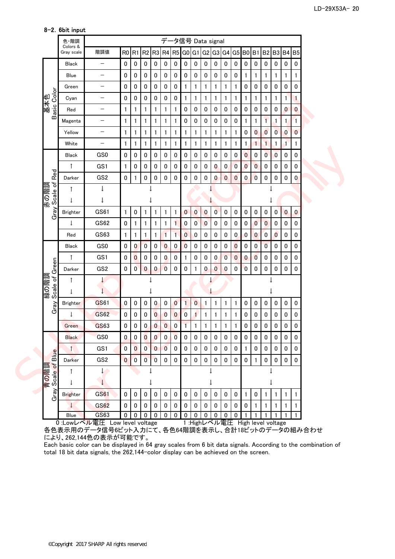|                       | 色·階調                   |                          |                |                |                                                       |                         | データ信号 Data signal       |                |                |                |                |                |                |                |                |                |                |                |              |              |  |
|-----------------------|------------------------|--------------------------|----------------|----------------|-------------------------------------------------------|-------------------------|-------------------------|----------------|----------------|----------------|----------------|----------------|----------------|----------------|----------------|----------------|----------------|----------------|--------------|--------------|--|
|                       | Colors &<br>Gray scale | 階調値                      |                |                | R0 R1 R2 R3 R4 R5 G0 G1 G2 G3 G4 G5 B0 B1 B2 B3 B4 B5 |                         |                         |                |                |                |                |                |                |                |                |                |                |                |              |              |  |
|                       | <b>Black</b>           | $\qquad \qquad -$        | $\pmb{0}$      | $\mathbf 0$    | $\pmb{0}$                                             | $\pmb{0}$               | $\pmb{0}$               | $\pmb{0}$      | $\pmb{0}$      | $\mathbf 0$    | $\pmb{0}$      | $\mathbf 0$    | $\pmb{0}$      | $\pmb{0}$      | $\pmb{0}$      | $\mathbf 0$    | $\pmb{0}$      | $\pmb{0}$      | $\pmb{0}$    | $\pmb{0}$    |  |
|                       | Blue                   | $\qquad \qquad -$        | 0              | 0              | $\pmb{0}$                                             | $\pmb{0}$               | $\pmb{0}$               | 0              | 0              | 0              | $\pmb{0}$      | $\pmb{0}$      | $\pmb{0}$      | $\pmb{0}$      | 1              | 1              | $\mathbf{1}$   | 1              | 1            | $\mathbf{1}$ |  |
|                       | Green                  | $\qquad \qquad -$        | 0              | 0              | 0                                                     | 0                       | $\pmb{0}$               | $\pmb{0}$      | 1              | 1              | 1              | 1              | 1              | $\mathbf{1}$   | 0              | 0              | 0              | 0              | $\pmb{0}$    | $\pmb{0}$    |  |
|                       | Cyan                   | -                        | 0              | 0              | $\pmb{0}$                                             | 0                       | 0                       | 0              | 1              | 1              | 1              | $\mathbf{1}$   | 1              | $\mathbf{1}$   | 1              | 1              | 1              | 1              | $\mathbf{1}$ | 1            |  |
| Basic Color<br>基本色    | Red                    | $\overline{\phantom{0}}$ | $\mathbf{1}$   | 1              | 1                                                     | 1                       | 1                       | $\mathbf{1}$   | 0              | 0              | $\pmb{0}$      | $\pmb{0}$      | $\pmb{0}$      | 0              | 0              | $\pmb{0}$      | $\pmb{0}$      | 0              | $\bf{0}$     | $\bf{0}$     |  |
|                       | Magenta                | —                        | 1              | 1              | 1                                                     | 1                       | 1                       | $\mathbf{1}$   | 0              | 0              | 0              | $\pmb{0}$      | $\pmb{0}$      | $\mathbf 0$    | 1              | 1              | $\mathbf{1}$   | 1              | 1            | $\mathbf{1}$ |  |
|                       | Yellow                 | $\qquad \qquad -$        | 1              | 1              | 1                                                     | 1                       | 1                       | $\mathbf{1}$   | $\mathbf{1}$   | 1              | 1              | 1              | 1              | $\mathbf{1}$   | $\pmb{0}$      | $\mathbf{0}$   | $\mathbf{0}$   | $\overline{0}$ | $\mathbf{0}$ | $\bf{0}$     |  |
|                       | White                  | $\qquad \qquad -$        | $\mathbf{1}$   | 1              | 1                                                     | 1                       | 1                       | $\mathbf{1}$   | 1              | 1              | 1              | 1              | 1              | $\mathbf{1}$   | 1              | 1              | $\mathbf{1}$   | $\mathbf{1}$   | 1            | 1            |  |
|                       | <b>Black</b>           | GS0                      | $\pmb{0}$      | 0              | $\pmb{0}$                                             | $\pmb{0}$               | $\pmb{0}$               | $\pmb{0}$      | 0              | 0              | $\pmb{0}$      | $\pmb{0}$      | $\pmb{0}$      | $\pmb{0}$      | 0              | 0              | $\overline{0}$ | $\pmb{0}$      | $\pmb{0}$    | $\pmb{0}$    |  |
|                       | $\uparrow$             | GS1                      | 1              | 0              | 0                                                     | $\pmb{0}$               | $\pmb{0}$               | $\pmb{0}$      | 0              | 0              | 0              | $\bf{0}$       | $\pmb{0}$      | $\pmb{0}$      | $\bf{0}$       | $\mathbf{0}$   | 0              | $\pmb{0}$      | $\pmb{0}$    | 0            |  |
| Red                   | Darker                 | GS <sub>2</sub>          | $\pmb{0}$      | 1              | $\mathbf 0$                                           | 0                       | $\pmb{0}$               | 0              | 0              | 0              | $\mathbf 0$    | $\bf{0}$       | $\overline{0}$ | $\bf{0}$       | 0              | 0              | $\mathbf 0$    | 0              | $\pmb{0}$    | $\pmb{0}$    |  |
|                       | ↑                      | $\downarrow$             |                |                |                                                       |                         |                         |                |                |                |                |                |                |                |                |                |                |                |              |              |  |
| 赤の階調                  | $\downarrow$           | $\downarrow$             |                |                |                                                       |                         |                         |                |                |                |                |                |                |                |                |                |                |                |              |              |  |
| Gray Scale of         | <b>Brighter</b>        | GS61                     | $\mathbf{1}$   | 0              | $\mathbf{1}$                                          | 1                       | 1                       | $\mathbf{1}$   | $\pmb{0}$      | $\mathbf{0}$   | $\pmb{0}$      | 0              | $\pmb{0}$      | $\pmb{0}$      | $\pmb{0}$      | $\mathbf 0$    | $\pmb{0}$      | 0              | $\bf{0}$     | $\pmb{0}$    |  |
|                       | $\downarrow$           | GS62                     | $\pmb{0}$      | 1              | $\mathbf{1}$                                          | 1                       | 1                       | 1              | 0              | $\overline{0}$ | $\overline{0}$ | $\pmb{0}$      | $\pmb{0}$      | $\pmb{0}$      | $\pmb{0}$      | $\overline{0}$ | $\mathbf{0}$   | $\pmb{0}$      | $\pmb{0}$    | 0            |  |
|                       | Red                    | GS63                     | $\mathbf{1}$   | 1              | $\mathbf{1}$                                          | 1                       | $\mathbf{1}$            | $\overline{1}$ | $\bf{0}$       | 0              | $\pmb{0}$      | $\pmb{0}$      | $\pmb{0}$      | $\pmb{0}$      | $\pmb{0}$      | $\overline{0}$ | $\overline{0}$ | $\overline{0}$ | $\pmb{0}$    | $\pmb{0}$    |  |
|                       | <b>Black</b>           | GS0                      | $\pmb{0}$      | $\mathbf{0}$   | $\mathbf 0$                                           | $\pmb{0}$               | $\bf{0}$                | $\pmb{0}$      | $\bf{0}$       | 0              | 0              | 0              | $\pmb{0}$      | $\overline{0}$ | 0              | $\bf{0}$       | $\overline{0}$ | $\pmb{0}$      | $\pmb{0}$    | $\pmb{0}$    |  |
| ΘN                    | ↑                      | GS1                      | 0              | 0              | 0                                                     | 0                       | $\bf{0}$                | 0              |                | 0              | 0              | $\mathbf{0}$   | $\overline{0}$ | $\bf{0}$       | 0              | 0              | 0              | 0              | $\pmb{0}$    | 0            |  |
|                       | Darker                 | GS <sub>2</sub>          | $\pmb{0}$      | $\overline{0}$ | $\bf{0}$                                              | $\bf{0}$                | $\overline{0}$          | 0              | 0              |                | $\pmb{0}$      | $\overline{0}$ | $\bf{0}$       | $\mathbf 0$    | $\overline{0}$ | 0              | $\pmb{0}$      | 0              | $\mathbf 0$  | $\pmb{0}$    |  |
| 緑の階調<br>Scale of Gree | ↑                      |                          |                |                |                                                       |                         |                         |                |                |                |                |                |                |                |                |                |                |                |              |              |  |
|                       | $\downarrow$           |                          |                |                |                                                       |                         |                         |                |                |                |                |                |                |                |                |                |                |                |              |              |  |
|                       | <b>Brighter</b>        | GS61                     | $\pmb{0}$      | $\pmb{0}$      | $\pmb{0}$                                             | 0                       | $\overline{\mathbf{0}}$ | $\pmb{0}$      | $\mathbf{1}$   | $\bf{0}$       | $\mathbf{1}$   | 1              | 1              | $\mathbf{1}$   | $\pmb{0}$      | $\mathbf 0$    | $\pmb{0}$      | 0              | $\pmb{0}$    | $\pmb{0}$    |  |
| Gray                  | $\downarrow$           | <b>GS62</b>              | $\pmb{0}$      | $\mathbf 0$    | $\pmb{0}$                                             | $\overline{0}$          | $\bf{0}$                | $\overline{0}$ | $\overline{0}$ | $\mathbf{1}$   | $\mathbf{1}$   | $\mathbf{1}$   | 1              | $\mathbf{1}$   | $\pmb{0}$      | 0              | $\pmb{0}$      | $\pmb{0}$      | $\pmb{0}$    | $\pmb{0}$    |  |
|                       | Green                  | <b>GS63</b>              | $\pmb{0}$      | 0              | $\mathbf{0}$                                          | $\overline{0}$          | $\bf{0}$                | $\pmb{0}$      | 1              | 1              | 1              | 1              | 1              | 1              | 0              | 0              | $\pmb{0}$      | $\pmb{0}$      | 0            | $\pmb{0}$    |  |
|                       | <b>Black</b>           | GS0                      | 0              | $\pmb{0}$      | $\bf{0}$                                              | $\bf{0}$                | $\boldsymbol{0}$        | $\overline{0}$ | 0              | $\pmb{0}$      | $\pmb{0}$      | 0              | $\pmb{0}$      | $\pmb{0}$      | 0              | $\pmb{0}$      | $\pmb{0}$      | 0              | $\pmb{0}$    | $\pmb{0}$    |  |
|                       | $\uparrow$             | GS1                      | $\overline{0}$ | $\overline{0}$ | $\overline{0}$                                        | $\overline{0}$          | $\overline{0}$          | $\mathbf 0$    | $\mathbf 0$    | $\mathbf 0$    | $\mathbf 0$    | $\mathbf 0$    | $\mathbf 0$    | $\pmb{0}$      | 1              | $\mathbf{0}$   | $\pmb{0}$      | $\mathbf 0$    | $\mathbf{0}$ | 0            |  |
| Blue                  | Darker                 | GS <sub>2</sub>          | $\overline{0}$ | $\overline{0}$ | $\mathbf{0}$                                          | $\overline{\mathbf{0}}$ | $\mathbf 0$             | $\mathbf 0$    | $\mathbf{0}$   | $\mathbf 0$    | $\mathbf 0$    | $\pmb{0}$      | $\mathbf 0$    | $\mathbf 0$    | $\pmb{0}$      | 1              | $\mathbf 0$    | $\pmb{0}$      | $\mathbf 0$  | $\mathbf 0$  |  |
|                       |                        | $\downarrow$             |                |                |                                                       |                         |                         |                |                |                |                |                |                |                |                |                |                |                |              |              |  |
| 青の階調<br>· Scale of I  | $\perp$                |                          |                |                |                                                       |                         |                         |                |                |                |                |                |                |                |                |                |                |                |              |              |  |
| Gray                  | <b>Brighter</b>        | GS61                     | $\pmb{0}$      | $\mathbf 0$    | $\pmb{0}$                                             | $\pmb{0}$               | $\pmb{0}$               | $\pmb{0}$      | $\pmb{0}$      | $\mathbf 0$    | $\mathbf 0$    | $\pmb{0}$      | $\mathbf 0$    | $\pmb{0}$      | $\mathbf{1}$   | $\mathbf 0$    | $\mathbf{1}$   | 1              | 1            | $\mathbf{1}$ |  |
|                       | $\downarrow$           | GS62                     | $\pmb{0}$      | $\mathbf 0$    | $\pmb{0}$                                             | $\pmb{0}$               | $\pmb{0}$               | $\mathbf 0$    | 0              | 0              | 0              | 0              | $\mathbf 0$    | $\mathbf 0$    | $\pmb{0}$      | $\mathbf{1}$   | $\mathbf{1}$   | $\mathbf{1}$   | 1            | 1            |  |
|                       |                        | GS63                     | $\mathbf 0$    | $\mathbf{0}$   | $\Omega$                                              | $\mathbf 0$             | $\pmb{0}$               | $\pmb{0}$      |                |                |                | $\Omega$       | $\mathbf 0$    |                |                |                |                |                |              |              |  |

8-2.6bit input

0 :Lowレベル電圧 Low level voltage 1:Highレベル電圧 High level voltage 各色表示用のデータ信号6ビット入力にて、各色64階調を表示し、合計18ビットのデータの組み合わせ により、262,144色の表示が可能です。

Each basic color can be displayed in 64 gray scales from 6 bit data signals. According to the combination of total 18 bit data signals, the 262,144-color display can be achieved on the screen.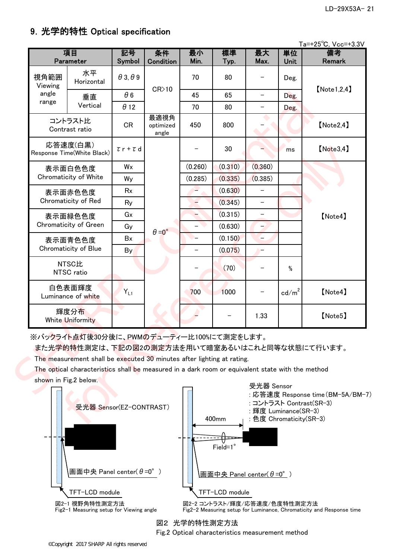# 9.光学的特性 Optical specification

| Ta=+25°C, Vcc=+3.3V |  |
|---------------------|--|
|---------------------|--|

|                       | 項目<br>Parameter                                                                                                                                                                                                                                                                                     | 記号<br>Symbol           | 条件<br>Condition            | 最小<br>Min.               | 標準<br>Typ. | 最大<br>Max.                         | 単位<br>Unit      | $10 \times 20$ $\sqrt{20}$ $100 \times 200$<br>備考<br>Remark |  |  |  |  |
|-----------------------|-----------------------------------------------------------------------------------------------------------------------------------------------------------------------------------------------------------------------------------------------------------------------------------------------------|------------------------|----------------------------|--------------------------|------------|------------------------------------|-----------------|-------------------------------------------------------------|--|--|--|--|
| 視角範囲<br>Viewing       | 水平<br>Horizontal                                                                                                                                                                                                                                                                                    | $\theta$ 3, $\theta$ 9 |                            | 70                       | 80         |                                    | Deg.            | [Note 1.2.4]                                                |  |  |  |  |
| angle                 | 垂直                                                                                                                                                                                                                                                                                                  | $\theta$ 6             | $CR$ 10                    | 45                       | 65         | $\overline{\phantom{0}}$           | Deg.            |                                                             |  |  |  |  |
| range                 | Vertical                                                                                                                                                                                                                                                                                            | $\theta$ 12            |                            | 70                       | 80         |                                    | Deg.            |                                                             |  |  |  |  |
|                       | コントラスト比<br>Contrast ratio                                                                                                                                                                                                                                                                           | <b>CR</b>              | 最適視角<br>optimized<br>angle | 450                      | 800        |                                    |                 | [Note2, 4]                                                  |  |  |  |  |
|                       | 応答速度(白黒)<br>Response Time(White Black)                                                                                                                                                                                                                                                              | $\tau$ r + $\tau$ d    |                            |                          | 30         |                                    | ms              | [Note3, 4]                                                  |  |  |  |  |
|                       | 表示面白色色度                                                                                                                                                                                                                                                                                             | Wx                     |                            | (0.260)                  | (0.310)    | (0.360)                            |                 |                                                             |  |  |  |  |
|                       | Chromaticity of White                                                                                                                                                                                                                                                                               | Wy                     |                            | (0.285)                  | (0.335)    | (0.385)                            |                 |                                                             |  |  |  |  |
|                       | 表示面赤色色度                                                                                                                                                                                                                                                                                             | Rx                     |                            |                          | (0.630)    |                                    |                 |                                                             |  |  |  |  |
|                       | Chromaticity of Red                                                                                                                                                                                                                                                                                 | Ry                     |                            |                          | (0.345)    | $\qquad \qquad -$                  |                 |                                                             |  |  |  |  |
| 表示面緑色色度               |                                                                                                                                                                                                                                                                                                     | Gx                     |                            |                          | (0.315)    | $\overline{\phantom{m}}$           |                 | [Note4]                                                     |  |  |  |  |
|                       | Chromaticity of Green                                                                                                                                                                                                                                                                               | Gy                     | $\theta = 0^{\circ}$       | $\overline{\phantom{0}}$ | (0.630)    | $\rightarrow$                      |                 |                                                             |  |  |  |  |
| 表示面青色色度               |                                                                                                                                                                                                                                                                                                     | Bx                     |                            |                          | (0.150)    | $-$                                |                 |                                                             |  |  |  |  |
|                       | Chromaticity of Blue                                                                                                                                                                                                                                                                                | By                     |                            |                          | (0.075)    | $\qquad \qquad -$                  |                 |                                                             |  |  |  |  |
|                       | <b>NTSC比</b><br>NTSC ratio                                                                                                                                                                                                                                                                          |                        |                            |                          | (70)       |                                    | %               |                                                             |  |  |  |  |
|                       | 白色表面輝度<br>Luminance of white                                                                                                                                                                                                                                                                        | $Y_{L1}$               |                            | 700                      | 1000       |                                    | $\text{cd/m}^2$ | [Note4]                                                     |  |  |  |  |
|                       | 輝度分布<br><b>White Uniformity</b>                                                                                                                                                                                                                                                                     |                        |                            |                          |            | 1.33                               |                 | [Note5]                                                     |  |  |  |  |
| shown in Fig.2 below. | ※バックライト点灯後30分後に、PWMのデューティー比100%にて測定をします。<br>また光学的特性測定は、下記の図2の測定方法を用いて暗室あるいはこれと同等な状態にて行います。<br>The measurement shall be executed 30 minutes after lighting at rating.<br>The optical characteristics shall be measured in a dark room or equivalent state with the method<br>受光器 Sensor(EZ-CONTRAST) |                        |                            |                          |            | 受光器 Sensor<br>: 輝度 Luminance(SR-3) |                 | :応答速度 Response time(BM-5A/BM-i<br>: コントラスト Contrast(SR-3)   |  |  |  |  |



図2 光学的特性測定方法 Fig.2 Optical characteristics measurement method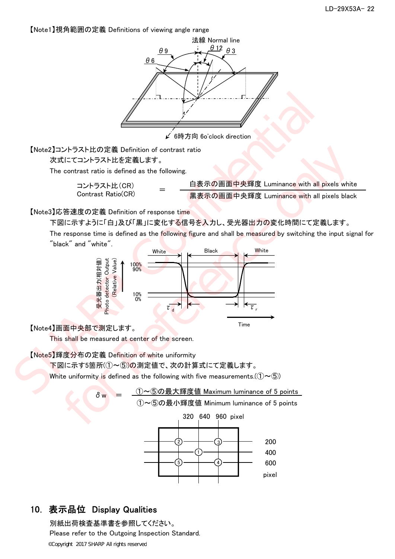【Note1】視角範囲の定義 Definitions of viewing angle range





## 10. 表示品位 Display Qualities

別紙出荷検査基準書を参照してください。 Please refer to the Outgoing Inspection Standard. ©Copyright 2017 SHARP All rights reserved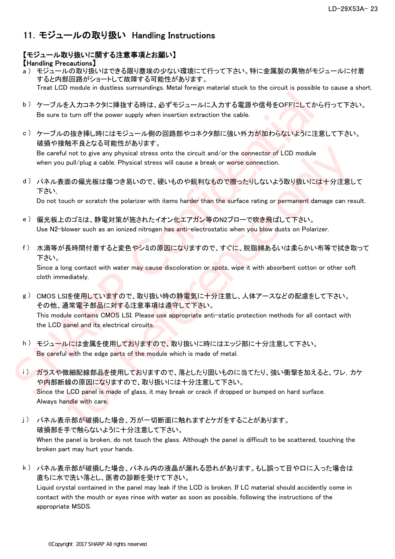# 11.モジュールの取り扱い Handling Instructions

### 【モジュール取り扱いに関する注意事項とお願い】

#### 【Handling Precautions】

- a ) モジュールの取り扱いはできる限り塵埃の少ない環境にて行って下さい。特に金属製の異物がモジュールに付着 すると内部回路がショートして故障する可能性があります。 Treat LCD module in dustless surroundings. Metal foreign material stuck to the circuit is possible to cause a short.
- b) ケーブルを入力コネクタに挿抜する時は、必ずモジュールに入力する電源や信号をOFFにしてから行って下さい。 Be sure to turn off the power supply when insertion extraction the cable.
- c ) ケーブルの抜き挿し時にはモジュール側の回路部やコネクタ部に強い外力が加わらないように注意して下さい。 破損や接触不良となる可能性があります。

Be careful not to give any physical stress onto the circuit and/or the connector of LCD module when you pull/plug a cable. Physical stress will cause a break or worse connection.

d ) パネル表面の偏光板は傷つき易いので、硬いものや鋭利なもので擦ったりしないよう取り扱いには十分注意して 下さい。

Do not touch or scratch the polarizer with items harder than the surface rating or permanent damage can result.

- e ) 偏光板上のゴミは、静電対策が施されたイオン化エアガン等のN2ブローで吹き飛ばして下さい。 Use N2-blower such as an ionized nitrogen has anti-electrostatic when you blow dusts on Polarizer.
- f ) 水滴等が長時間付着すると変色やシミの原因になりますので、すぐに、脱脂綿あるいは柔らかい布等で拭き取って 下さい。

Since a long contact with water may cause discoloration or spots, wipe it with absorbent cotton or other soft cloth immediately.

- g ) CMOS LSIを使用していますので、取り扱い時の静電気に十分注意し、人体アースなどの配慮をして下さい。 その他、通常電子部品に対する注意事項は遵守して下さい。 This module contains CMOS LSI. Please use appropriate anti-static protection methods for all contact with the LCD panel and its electrical circuits. b) ケーブルを入力コネクタに挿技する時は、必ずモジュールに入力する電源や信号をOFFにしてから行<br>
Be sure to turn off the power supply when insertion extraction the cable.<br>
c) ケーブルの技き挿し時にはモジュール側の回路部やコネクタ部に強い外力が知わらないように注意し<br>
破損や接触不良となる可能性があります。<br>
confident face to turn
	- h ) モジュールには金属を使用しておりますので、取り扱いに時にはエッジ部に十分注意して下さい。 Be careful with the edge parts of the module which is made of metal.
	- i) ガラスや微細配線部品を使用しておりますので、落としたり固いものに当てたり、強い衝撃を加えると、ワレ,カケ や内部断線の原因になりますので、取り扱いには十分注意して下さい。 Since the LCD panel is made of glass, it may break or crack if dropped or bumped on hard surface. Always handle with care. kin in Access when the original stress onto the circuit and/or the connector of LCD module<br>ulind to give any physical stress will cause a break or worse connector of LCD module<br>pull/plug a cable. Physical stress will cau
	- j ) パネル表示部が破損した場合、万が一切断面に触れますとケガをすることがあります。 破損部を手で触らないように十分注意して下さい。 When the panel is broken, do not touch the glass. Although the panel is difficult to be scattered, touching the broken part may hurt your hands.
	- k ) パネル表示部が破損した場合、パネル内の液晶が漏れる恐れがあります。もし誤って目や口に入った場合は 直ちに水で洗い落とし、医者の診断を受けて下さい。 Liquid crystal contained in the panel may leak if the LCD is broken. If LC material should accidently come in contact with the mouth or eyes rinse with water as soon as possible, following the instructions of the appropriate MSDS.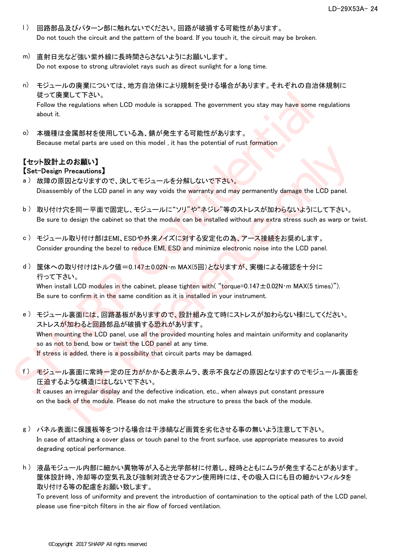- l ) 回路部品及びパターン部に触れないでください。回路が破損する可能性があります。 Do not touch the circuit and the pattern of the board. If you touch it, the circuit may be broken.
- m) 直射日光など強い紫外線に長時間さらさないようにお願いします。 Do not expose to strong ultraviolet rays such as direct sunlight for a long time.
- n) モジュールの廃棄については、地方自治体により規制を受ける場合があります。それぞれの自治体規制に 従って廃棄して下さい。 Follow the regulations when LCD module is scrapped. The government you stay may have some regulations about it.
- o) 本機種は金属部材を使用している為、錆が発生する可能性があります。 Because metal parts are used on this model , it has the potential of rust formation

#### 【セット設計上のお願い】 【Set-Design Precautions】

- a ) 故障の原因となりますので、決してモジュールを分解しないで下さい。 Disassembly of the LCD panel in any way voids the warranty and may permanently damage the LCD panel.
- b ) 取り付け穴を同一平面で固定し、モジュールに"ソリ"や"ネジレ"等のストレスが加わらないようにして下さい。 Be sure to design the cabinet so that the module can be installed without any extra stress such as warp or twist.
- c ) モジュール取り付け部はEMI、ESDや外来ノイズに対する安定化の為、アース接続をお奨めします。 Consider grounding the bezel to reduce EMI, ESD and minimize electronic noise into the LCD panel.
- d ) 筐体への取り付けはトルク値=0.147±0.02N・m MAX(5回)となりますが、実機による確認を十分に 行って下さい。

When install LCD modules in the cabinet, please tighten with  $("torque=0.147 \pm 0.02N \cdot m$  MAX(5 times)"). Be sure to confirm it in the same condition as it is installed in your instrument.

- e ) モジュール裏面には、回路基板がありますので、設計組み立て時にストレスが加わらない様にしてください。 ストレスが加わると回路部品が破損する恐れがあります。 When mounting the LCD panel, use all the provided mounting holes and maintain uniformity and coplanarity so as not to bend, bow or twist the LCD panel at any time. If stress is added, there is a possibility that circuit parts may be damaged. 後って廃棄して下さい。<br>Follow the regulations when LCD module is scrapped. The government you stay may have some regulations in<br>the contribution of the LCD module is scrapped. The government you stay may have some regulations in<br>t "man for Bernard and the manner when the set of the system and the conditions]<br>Precentions]<br>Reference only of the LCD panel in any way voids the warrantly and may permanently damage the LCD panel.<br>大会同一平面で固定し、モジュールを分解しない
	- f ) モジュール裏面に常時一定の圧力がかかると表示ムラ、表示不良などの原因となりますのでモジュール裏面を 圧迫するような構造にはしないで下さい。

It causes an irregular display and the defective indication, etc., when always put constant pressure on the back of the module. Please do not make the structure to press the back of the module.

- g ) パネル表面に保護板等をつける場合は干渉縞など画質を劣化させる事の無いよう注意して下さい。 In case of attaching a cover glass or touch panel to the front surface, use appropriate measures to avoid degrading optical performance.
- h ) 液晶モジュール内部に細かい異物等が入ると光学部材に付着し、経時とともにムラが発生することがあります。 筐体設計時、冷却等の空気孔及び強制対流させるファン使用時には、その吸入口にも目の細かいフィルタを 取り付ける等の配慮をお願い致します。

To prevent loss of uniformity and prevent the introduction of contamination to the optical path of the LCD panel, please use fine-pitch filters in the air flow of forced ventilation.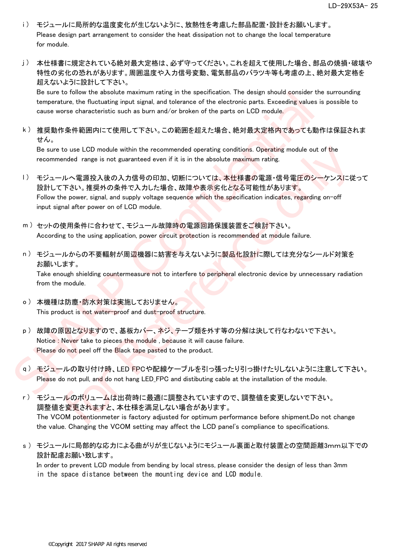- i) モジュールに局所的な温度変化が生じないように、放熱性を考慮した部品配置·設計をお願いします。 Please design part arrangement to consider the heat dissipation not to change the local temperature for module.
- j ) 本仕様書に規定されている絶対最大定格は、必ず守ってください。これを超えて使用した場合、部品の焼損・破壊や 特性の劣化の恐れがあります。周囲温度や入力信号変動、電気部品のバラツキ等も考慮の上、絶対最大定格を 超えないように設計して下さい。

Be sure to follow the absolute maximum rating in the specification. The design should consider the surrounding temperature, the fluctuating input signal, and tolerance of the electronic parts. Exceeding values is possible to cause worse characteristic such as burn and/or broken of the parts on LCD module.

k ) 推奨動作条件範囲内にて使用して下さい。この範囲を超えた場合、絶対最大定格内であっても動作は保証されま せん。

Be sure to use LCD module within the recommended operating conditions. Operating module out of the recommended range is not guaranteed even if it is in the absolute maximum rating.

- l ) モジュールへ電源投入後の入力信号の印加、切断については、本仕様書の電源・信号電圧のシーケンスに従って 設計して下さい。推奨外の条件で入力した場合、故障や表示劣化となる可能性があります。 Follow the power, signal, and supply voltage sequence which the specification indicates, regarding on-off input signal after power on of LCD module. Be sure to follow the absolute maximum rating in the specification. The design should consider the specifical<br>temperature, the fluctuating imput signal, and tolerance of the electronic parts. Exceeding values is p<br>cause to use LCD module within the recommended operating conditions. Operating module out of the<br>nnded range is not guaranteed even if it is in the absolute maximum rating.<br>ルヘ電源投入後の入力信号の印加、切断については、本仕様者の電源(指导電圧のシーケンスに従<br>Tさい,推奨がの
	- m ) セットの使用条件に合わせて、モジュール故障時の電源回路保護装置をご検討下さい。 According to the using application, power circuit protection is recommended at module failure.
	- n) モジュールからの不要輻射が周辺機器に妨害を与えないように製品化設計に際しては充分なシールド対策を お願いします。

Take enough shielding countermeasure not to interfere to peripheral electronic device by unnecessary radiation from the module.

- o) 本機種は防塵·防水対策は実施しておりません。 This product is not water-proof and dust-proof structure.
- p ) 故障の原因となりますので、基板カバー、ネジ、テープ類を外す等の分解は決して行なわないで下さい。 Notice : Never take to pieces the module , because it will cause failure. Please do not peel off the Black tape pasted to the product.
- q ) モジュールの取り付け時、LED FPCや配線ケーブルを引っ張ったり引っ掛けたりしないように注意して下さい。 Please do not pull, and do not hang LED\_FPC and distibuting cable at the installation of the module.
- r ) モジュールのボリュームは出荷時に最適に調整されていますので、調整値を変更しないで下さい。 調整値を変更されますと、本仕様を満足しない場合があります。 The VCOM potentionmeter is factory adjusted for optimum performance before shipment.Do not change the value. Changing the VCOM setting may affect the LCD panel's compliance to specifications.
- s ) モジュールに局部的な応力による曲がりが生じないようにモジュール裏面と取付装置との空間距離3mm以下での 設計配慮お願い致します。

In order to prevent LCD module from bending by local stress, please consider the design of less than 3mm in the space distance between the mounting device and LCD module.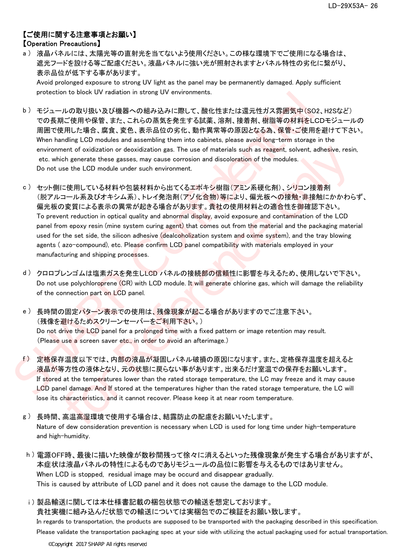### 【ご使用に関する注意事項とお願い】 【Operation Precautions】

a ) 液晶パネルには、太陽光等の直射光を当てないよう使用ください。この様な環境下でご使用になる場合は、 遮光フードを設ける等ご配慮ください。液晶パネルに強い光が照射されますとパネル特性の劣化に繋がり、 表示品位が低下する事があります。

Avoid prolonged exposure to strong UV light as the panel may be permanently damaged. Apply sufficient protection to block UV radiation in strong UV environments.

- b ) モジュールの取り扱い及び機器への組み込みに際して、酸化性または還元性ガス雰囲気中(SO2、H2Sなど) での長期ご使用や保管、また、これらの蒸気を発生する試薬、溶剤、接着剤、樹脂等の材料をLCDモジュールの 周囲で使用した場合、腐食、変色、表示品位の劣化、動作異常等の原因となる為、保管・ご使用を避けて下さい。 When handling LCD modules and assembling them into cabinets, please avoid long-term storage in the environment of oxidization or deoxidization gas. The use of materials such as reagent, solvent, adhesive, resin, etc. which generate these gasses, may cause corrosion and discoloration of the modules. Do not use the LCD module under such environment.
- c ) セット側に使用している材料や包装材料から出てくるエポキシ樹脂(アミン系硬化剤)、シリコン接着剤 (脱アルコール系及びオキシム系)、トレイ発泡剤(アゾ化合物)等により、偏光板への接触・非接触にかかわらず、 偏光板の変質による表示の異常が起きる場合があります。貴社の使用材料との適合性を御確認下さい。 To prevent reduction in optical quality and abnormal display, avoid exposure and contamination of the LCD panel from epoxy resin (mine system curing agent) that comes out from the material and the packaging material used for the set side, the silicon adhesive (dealcoholization system and oxime system), and the tray blowing agents ( azo-compound), etc. Please confirm LCD panel compatibility with materials employed in your manufacturing and shipping processes. protection to block UV radiation in strong UV environments.<br>
b) モジュールの取り扱い及び機器への結み少みに際して、酸化構または運元性ガス雰囲気中(SO2, H)<br>
での長期ご使用や電言、また、これらの蒸気を発生する試業、溶剤、接着剤、樹脂等の材料をLCDモ<br>
周囲で使用した場合、度まで、表示の高を発生する試業、溶剤、接着剤、樹脂等の材料をLCDモ<br>
MPIC from th rent of oxidization or deoxidization gas. The use of materials such as reagent, solvent, adhesive, resing<br>the generate these gasses, may cause corrosion and discoloration of the modules.<br>
the fleft EUC module under such
	- d ) クロロプレンゴムは塩素ガスを発生しLCD パネルの接続部の信頼性に影響を与えるため、使用しないで下さい。 Do not use polychloroprene (CR) with LCD module. It will generate chlorine gas, which will damage the reliability of the connection part on LCD panel.
	- e ) 長時間の固定パターン表示での使用は、残像現象が起こる場合がありますのでご注意下さい。 (残像を避けるためスクリーンセーバーをご利用下さい。) Do not drive the LCD panel for a prolonged time with a fixed pattern or image retention may result. (Please use a screen saver etc., in order to avoid an afterimage.)
	- f ) 定格保存温度以下では、内部の液晶が凝固しパネル破損の原因になります。また、定格保存温度を超えると 液晶が等方性の液体となり、元の状態に戻らない事があります。出来るだけ室温での保存をお願いします。 If stored at the temperatures lower than the rated storage temperature, the LC may freeze and it may cause LCD panel damage. And If stored at the temperatures higher than the rated storage temperature, the LC will lose its characteristics, and it cannot recover. Please keep it at near room temperature.
	- g ) 長時間、高温高湿環境で使用する場合は、結露防止の配慮をお願いいたします。 Nature of dew consideration prevention is necessary when LCD is used for long time under high-temperature and high-humidity.
	- h ) 電源OFF時、最後に描いた映像が数秒間残って徐々に消えるといった残像現象が発生する場合がありますが、 本症状は液晶パネルの特性によるものでありモジュールの品位に影響を与えるものではありません。 When LCD is stopped, residual image may be occurd and disappear gradually. This is caused by attribute of LCD panel and it does not cause the damage to the LCD module.
	- i ) 製品輸送に関しては本仕様書記載の梱包状態での輸送を想定しております。 貴社実機に組み込んだ状態での輸送については実梱包でのご検証をお願い致します。 In regards to transportation, the products are supposed to be transported with the packaging described in this specification. Please validate the transportation packaging spec at your side with utilizing the actual packaging used for actual transportation.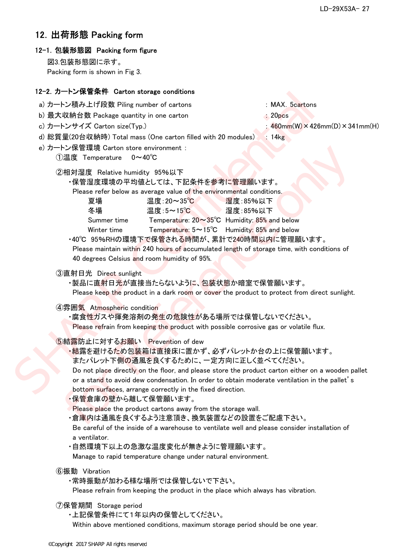## 12.出荷形態 Packing form

#### 12-1.包装形態図 Packing form figure

図3.包装形態図に示す。 Packing form is shown in Fig 3.

#### 12-2.カートン保管条件 Carton storage conditions

- a) カートン積み上げ段数 Piling number of cartons : MAX.5cartons
- b) 最大収納台数 Package quantity in one carton : 20pcs
- 
- 
- 
- c) カートンサイズ Carton size(Typ.)  $\qquad \qquad : 460 \text{mm(W)} \times 426 \text{mm(D)} \times 341 \text{mm(H)}$
- d) 総質量(20台収納時) Total mass (One carton filled with 20 modules) 4: 14kg
- e) カートン保管環境 Carton store environment :
	- ①温度 Temperature 0~40℃
	- ②相対湿度 Relative humidity 95%以下
		- ・保管湿度環境の平均値としては、下記条件を参考に管理願います。

| IZ-Z. カートノ休官宋什 Carton storage conditions                                                                                                                                                                                                                                                                                                                                                                                                                                                                         |                                                                                                                     |
|------------------------------------------------------------------------------------------------------------------------------------------------------------------------------------------------------------------------------------------------------------------------------------------------------------------------------------------------------------------------------------------------------------------------------------------------------------------------------------------------------------------|---------------------------------------------------------------------------------------------------------------------|
| a) カートン積み上げ段数 Piling number of cartons<br>b) 最大収納台数 Package quantity in one carton<br>c) カートンサイズ Carton size(Typ.)<br>d) 総質量(20台収納時) Total mass (One carton filled with 20 modules)<br>e) カートン保管環境 Carton store environment :<br>①温度 Temperature<br>$0 \sim 40^{\circ}$ C                                                                                                                                                                                                                                        | : MAX. 5cartons<br>$20pc$ s<br>$460$ mm $(W) \times 426$ mm $(D) \times 341$<br>: 14kg                              |
| ②相対湿度 Relative humidity 95%以下<br>・保管湿度環境の平均値としては、下記条件を参考に管理願います。<br>Please refer below as average value of the environmental conditions.<br>温度:20~35℃<br>夏場<br>温度:5~15℃<br>冬場<br>Summer time<br>Winter time<br>・40℃ 95%RHの環境下で保管される時間が、累計で240時間以内に管理願います。<br>Please maintain within 240 hours of accumulated length of storage time, with conditions of<br>40 degrees Celsius and room humidity of 95%.                                                                                                          | 湿度:85%以下<br>湿度:85%以下<br>Temperature: 20~35°C Humidity: 85% and below<br>Temperature: 5~15°C Humidity: 85% and below |
| ③直射日光 Direct sunlight<br>・製品に直射日光が直接当たらないように、包装状態か暗室で保管願います。<br>Please keep the product in a dark room or cover the product to protect from direct sunlight.                                                                                                                                                                                                                                                                                                                                                     |                                                                                                                     |
| 4雰囲気 Atmospheric condition<br>・腐食性ガスや揮発溶剤の発生の危険性がある場所では保管しないでください。<br>Please refrain from keeping the product with possible corrosive gas or volatile flux.                                                                                                                                                                                                                                                                                                                                                      |                                                                                                                     |
| ⑤結露防止に対するお願い Prevention of dew<br>・結露を避けるため包装箱は直接床に置かず、必ずパレットか台の上に保管願います。<br>またパレット下側の通風を良くするために、一定方向に正しく並べてください。<br>Do not place directly on the floor, and please store the product carton either on a wooden pa<br>or a stand to avoid dew condensation. In order to obtain moderate ventilation in the pallet's<br>bottom surfaces, arrange correctly in the fixed direction.<br>·保管倉庫の壁から離して保管願います。<br>Please place the product cartons away from the storage wall.<br>・倉庫内は通風を良くするよう注意頂き、換気装置などの設置をご配慮下さい。 |                                                                                                                     |
|                                                                                                                                                                                                                                                                                                                                                                                                                                                                                                                  |                                                                                                                     |

- ・保管倉庫の壁から離して保管願います。
- Please place the product cartons away from the storage wall.

 Be careful of the inside of a warehouse to ventilate well and please consider installation of a ventilator.

・自然環境下以上の急激な温度変化が無きように管理願います。

Manage to rapid temperature change under natural environment.

⑥振動 Vibration

・常時振動が加わる様な場所では保管しないで下さい。

Please refrain from keeping the product in the place which always has vibration.

- ⑦保管期間 Storage period
	- ・上記保管条件にて1年以内の保管としてください。

Within above mentioned conditions, maximum storage period should be one year.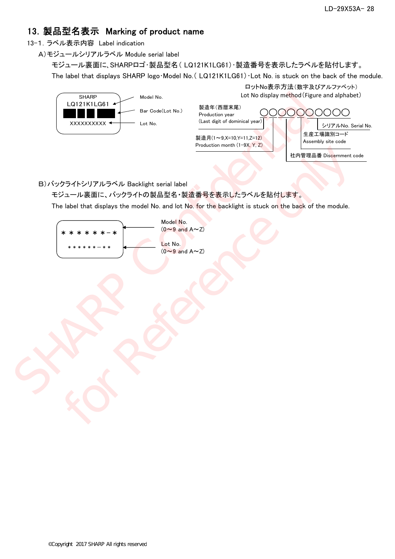# 13.製品型名表示 Marking of product name

13-1.ラベル表示内容 Label indication

A)モジュールシリアルラベル Module serial label

The label that displays SHARP logo Model No. (LQ121K1LG61) Lot No. is stuck on the back of the module. モジュール裏面に、SHARPロゴ・製品型名( LQ121K1LG61)・製造番号を表示したラベルを貼付します。

| <b>SHARP</b>                      | Model No.                    | ロットNo表示方法(数字及びアルファベット)<br>Lot No display method (Figure and alphabet)                                                                                                                                          |
|-----------------------------------|------------------------------|----------------------------------------------------------------------------------------------------------------------------------------------------------------------------------------------------------------|
| LQ121K1LG61<br>xxxxxxxxx <b>→</b> | Bar Code(Lot No.)<br>Lot No. | 製造年(西暦末尾)<br>Production year<br>(Last digit of dominical year)<br>シリアルNo. Serial No.<br>生産工場識別コード<br>製造月(1~9.X=10.Y=11.Z=12)<br>Assembly site code<br>Production month (1-9X, Y, Z)<br>社内管理品番 Discernment code |

| SHARP<br>LQ121K1LG61 4<br>xxxxxxxxx                                                                                                                                                            | Model No.<br>Bar Code(Lot No.)<br>Lot No.                                    | 製造年(西暦末尾)<br>Production year<br>(Last digit of dominical year)<br>製造月(1~9,X=10,Y=11,Z=12)<br>Production month (1-9X, Y, Z) | Lot No display method (Figure and alphabe<br>0000<br>◯<br>シリアルNo. Se<br>生産工場識別コード<br>Assembly site code |
|------------------------------------------------------------------------------------------------------------------------------------------------------------------------------------------------|------------------------------------------------------------------------------|----------------------------------------------------------------------------------------------------------------------------|---------------------------------------------------------------------------------------------------------|
| B) バックライトシリアルラベル Backlight serial label<br>モジュール裏面に、バックライトの製品型名・製造番号を表示したラベルを貼付します。<br>The label that displays the model No. and lot No. for the backlight is stuck on the back of the module. |                                                                              |                                                                                                                            | 社内管理品番 Discernment co                                                                                   |
| – *                                                                                                                                                                                            | Model No.<br>$(0 - 9$ and $A \sim Z)$<br>Lot No.<br>$(0 - 9$ and $A \sim Z)$ |                                                                                                                            |                                                                                                         |
|                                                                                                                                                                                                |                                                                              |                                                                                                                            |                                                                                                         |
|                                                                                                                                                                                                |                                                                              |                                                                                                                            |                                                                                                         |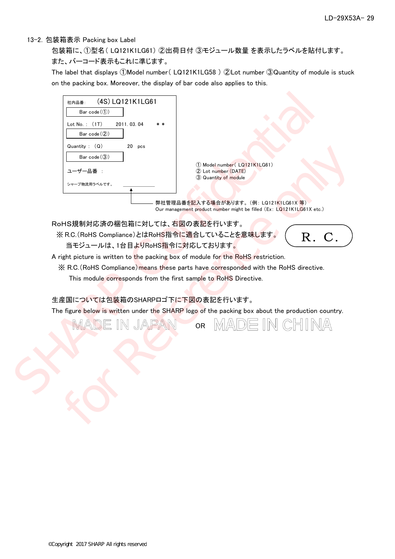#### 13-2.包装箱表示 Packing box Label

また、バーコード表示もこれに準じます。 包装箱に、①型名( LQ121K1LG61) ②出荷日付 ③モジュール数量 を表示したラベルを貼付します。

The label that displays ①Model number( LQ121K1LG58 ) ②Lot number ③Quantity of module is stuck on the packing box. Moreover, the display of bar code also applies to this.



RoHS規制対応済の梱包箱に対しては、右図の表記を行います。

 ※ R.C.(RoHS Compliance)とはRoHS指令に適合していることを意味します。 当モジュールは、1台目よりRoHS指令に対応しております。



A right picture is written to the packing box of module for the RoHS restriction.

※ R.C.(RoHS Compliance)means these parts have corresponded with the RoHS directive.

This module corresponds from the first sample to RoHS Directive.

#### 生産国については包装箱のSHARPロゴ下に下図の表記を行います。

The figure below is written under the SHARP logo of the packing box about the production country.

OR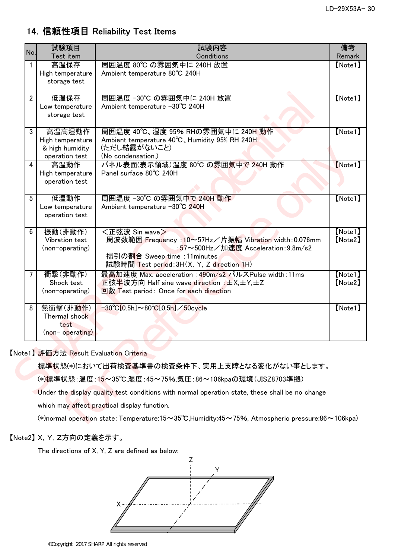# 14.信頼性項目 Reliability Test Items

| No.            | 試験項目<br>Test item                                               | 試験内容<br>Conditions                                                                                                                                                                         | 備考<br>Remark       |
|----------------|-----------------------------------------------------------------|--------------------------------------------------------------------------------------------------------------------------------------------------------------------------------------------|--------------------|
| 1              | 高温保存<br>High temperature<br>storage test                        | 周囲温度 80℃ の雰囲気中に 240H 放置<br>Ambient temperature 80°C 240H                                                                                                                                   | [Note1]            |
| $\overline{2}$ | 低温保存<br>Low temperature<br>storage test                         | 周囲温度 −30℃ の雰囲気中に 240H 放置<br>Ambient temperature −30°C 240H                                                                                                                                 | [Note1]            |
| 3              | 高温高湿動作<br>High temperature<br>& high humidity<br>operation test | 周囲温度 40℃、湿度 95% RHの雰囲気中に 240H 動作<br>Ambient temperature 40°C, Humidity 95% RH 240H<br>(ただし結露がないこと)<br>(No condensation.)                                                                   | [Note1]            |
| 4              | 高温動作<br>High temperature<br>operation test                      | パネル表面(表示領域)温度 80℃ の雰囲気中で 240H 動作<br>Panel surface 80°C 240H                                                                                                                                | [Note1]            |
| 5              | 低温動作<br>Low temperature<br>operation test                       | 周囲温度 -30℃ の雰囲気中で 240H 動作<br>Ambient temperature -30°C 240H                                                                                                                                 | [Note1]            |
| $6\phantom{.}$ | 振動(非動作)<br>Vibration test<br>(non-operating)                    | <正弦波 Sin wave><br>周波数範囲 Frequency: 10~57Hz/片振幅 Vibration width: 0.076mm<br>:57~500Hz/加速度 Acceleration:9.8m/s2<br>掃引の割合 Sweep time :11minutes<br>試験時間 Test period: 3H(X, Y, Z direction 1H) | [Note1]<br>[Note2] |
| $\overline{7}$ | 衝擊(非動作)<br>Shock test<br>(non-operating)                        | 最高加速度 Max. acceleration : 490m/s2 パルスPulse width: 11ms<br>正弦半波方向 Half sine wave direction : ±X,±Y,±Z<br>回数 Test period: Once for each direction                                            | [Note1]<br>[Note2] |
| 8              | 熱衝擊(非動作)<br>Thermal shock<br>test<br>(non-operating)            | $-30^{\circ}C[0.5h] \sim 80^{\circ}C[0.5h] \diagup 50$ cycle                                                                                                                               | [Note1]            |
|                | 【Note1】評価方法 Result Evaluation Criteria                          |                                                                                                                                                                                            |                    |
|                |                                                                 | 標準状態(*)において出荷検査基準書の検査条件下、実用上支障となる変化がない事とします。                                                                                                                                               |                    |
|                |                                                                 | (*)標準状態: 温度: 15~35℃,湿度: 45~75%,気圧: 86~106kpaの環境(JISZ8703準拠)                                                                                                                                |                    |
|                |                                                                 | Under the display quality test conditions with normal operation state, these shall be no change                                                                                            |                    |
|                |                                                                 | which may affect practical display function.                                                                                                                                               |                    |
|                |                                                                 | (*)normal operation state: Temperature: 15~35°C, Humidity: 45~75%, Atmospheric pressure: 86~106kpa)                                                                                        |                    |

### 【Note2】 X,Y,Z方向の定義を示す。

The directions of X, Y, Z are defined as below:

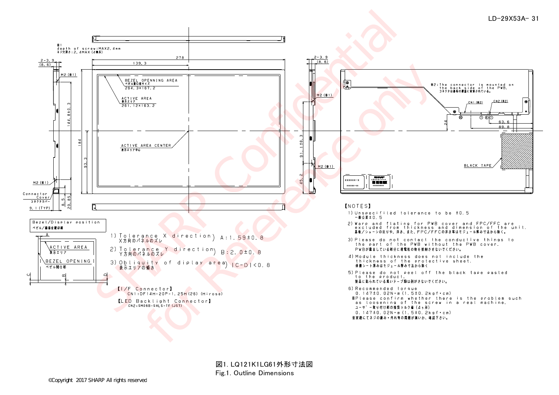